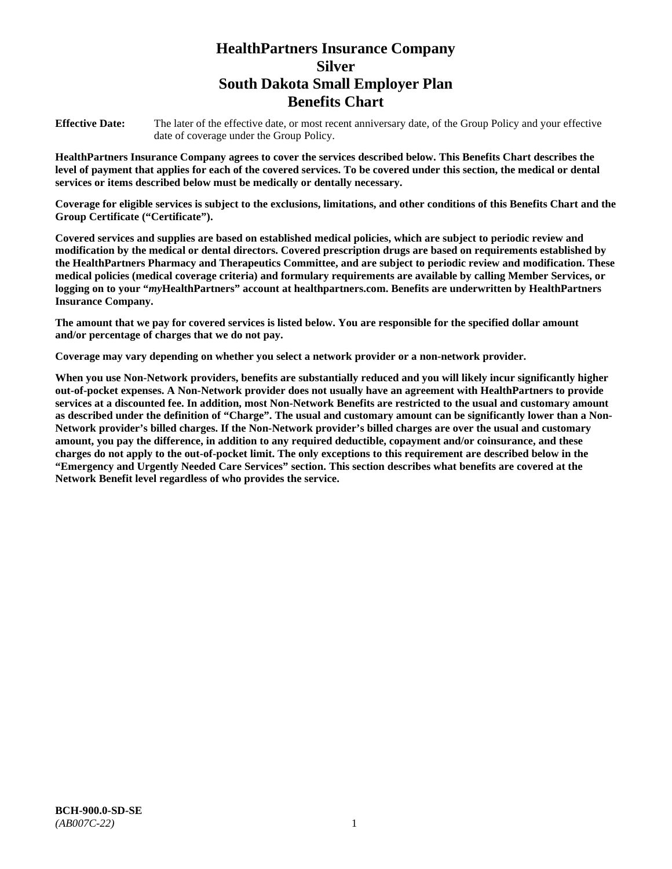# **HealthPartners Insurance Company Silver South Dakota Small Employer Plan Benefits Chart**

**Effective Date:** The later of the effective date, or most recent anniversary date, of the Group Policy and your effective date of coverage under the Group Policy.

**HealthPartners Insurance Company agrees to cover the services described below. This Benefits Chart describes the level of payment that applies for each of the covered services. To be covered under this section, the medical or dental services or items described below must be medically or dentally necessary.**

**Coverage for eligible services is subject to the exclusions, limitations, and other conditions of this Benefits Chart and the Group Certificate ("Certificate").**

**Covered services and supplies are based on established medical policies, which are subject to periodic review and modification by the medical or dental directors. Covered prescription drugs are based on requirements established by the HealthPartners Pharmacy and Therapeutics Committee, and are subject to periodic review and modification. These medical policies (medical coverage criteria) and formulary requirements are available by calling Member Services, or logging on to your "***my***HealthPartners" account at [healthpartners.com.](file://isntmacsrv0/www.healthpartners.com) Benefits are underwritten by HealthPartners Insurance Company.**

**The amount that we pay for covered services is listed below. You are responsible for the specified dollar amount and/or percentage of charges that we do not pay.**

**Coverage may vary depending on whether you select a network provider or a non-network provider.**

**When you use Non-Network providers, benefits are substantially reduced and you will likely incur significantly higher out-of-pocket expenses. A Non-Network provider does not usually have an agreement with HealthPartners to provide services at a discounted fee. In addition, most Non-Network Benefits are restricted to the usual and customary amount as described under the definition of "Charge". The usual and customary amount can be significantly lower than a Non-Network provider's billed charges. If the Non-Network provider's billed charges are over the usual and customary amount, you pay the difference, in addition to any required deductible, copayment and/or coinsurance, and these charges do not apply to the out-of-pocket limit. The only exceptions to this requirement are described below in the "Emergency and Urgently Needed Care Services" section. This section describes what benefits are covered at the Network Benefit level regardless of who provides the service.**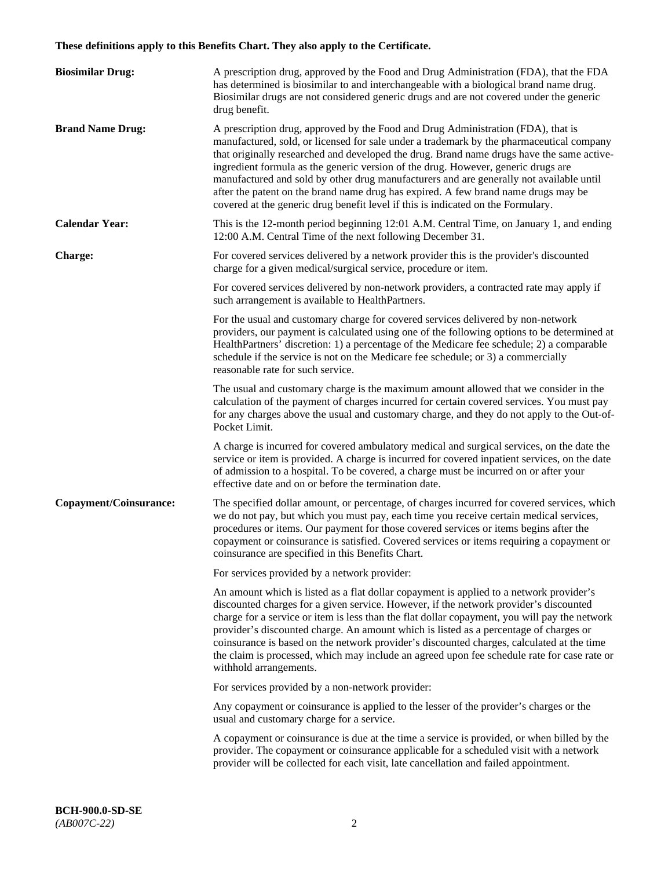# **These definitions apply to this Benefits Chart. They also apply to the Certificate.**

| <b>Biosimilar Drug:</b> | A prescription drug, approved by the Food and Drug Administration (FDA), that the FDA<br>has determined is biosimilar to and interchangeable with a biological brand name drug.<br>Biosimilar drugs are not considered generic drugs and are not covered under the generic<br>drug benefit.                                                                                                                                                                                                                                                                                                                                         |
|-------------------------|-------------------------------------------------------------------------------------------------------------------------------------------------------------------------------------------------------------------------------------------------------------------------------------------------------------------------------------------------------------------------------------------------------------------------------------------------------------------------------------------------------------------------------------------------------------------------------------------------------------------------------------|
| <b>Brand Name Drug:</b> | A prescription drug, approved by the Food and Drug Administration (FDA), that is<br>manufactured, sold, or licensed for sale under a trademark by the pharmaceutical company<br>that originally researched and developed the drug. Brand name drugs have the same active-<br>ingredient formula as the generic version of the drug. However, generic drugs are<br>manufactured and sold by other drug manufacturers and are generally not available until<br>after the patent on the brand name drug has expired. A few brand name drugs may be<br>covered at the generic drug benefit level if this is indicated on the Formulary. |
| <b>Calendar Year:</b>   | This is the 12-month period beginning 12:01 A.M. Central Time, on January 1, and ending<br>12:00 A.M. Central Time of the next following December 31.                                                                                                                                                                                                                                                                                                                                                                                                                                                                               |
| <b>Charge:</b>          | For covered services delivered by a network provider this is the provider's discounted<br>charge for a given medical/surgical service, procedure or item.                                                                                                                                                                                                                                                                                                                                                                                                                                                                           |
|                         | For covered services delivered by non-network providers, a contracted rate may apply if<br>such arrangement is available to HealthPartners.                                                                                                                                                                                                                                                                                                                                                                                                                                                                                         |
|                         | For the usual and customary charge for covered services delivered by non-network<br>providers, our payment is calculated using one of the following options to be determined at<br>HealthPartners' discretion: 1) a percentage of the Medicare fee schedule; 2) a comparable<br>schedule if the service is not on the Medicare fee schedule; or 3) a commercially<br>reasonable rate for such service.                                                                                                                                                                                                                              |
|                         | The usual and customary charge is the maximum amount allowed that we consider in the<br>calculation of the payment of charges incurred for certain covered services. You must pay<br>for any charges above the usual and customary charge, and they do not apply to the Out-of-<br>Pocket Limit.                                                                                                                                                                                                                                                                                                                                    |
|                         | A charge is incurred for covered ambulatory medical and surgical services, on the date the<br>service or item is provided. A charge is incurred for covered inpatient services, on the date<br>of admission to a hospital. To be covered, a charge must be incurred on or after your<br>effective date and on or before the termination date.                                                                                                                                                                                                                                                                                       |
| Copayment/Coinsurance:  | The specified dollar amount, or percentage, of charges incurred for covered services, which<br>we do not pay, but which you must pay, each time you receive certain medical services,<br>procedures or items. Our payment for those covered services or items begins after the<br>copayment or coinsurance is satisfied. Covered services or items requiring a copayment or<br>coinsurance are specified in this Benefits Chart.                                                                                                                                                                                                    |
|                         | For services provided by a network provider:                                                                                                                                                                                                                                                                                                                                                                                                                                                                                                                                                                                        |
|                         | An amount which is listed as a flat dollar copayment is applied to a network provider's<br>discounted charges for a given service. However, if the network provider's discounted<br>charge for a service or item is less than the flat dollar copayment, you will pay the network<br>provider's discounted charge. An amount which is listed as a percentage of charges or<br>coinsurance is based on the network provider's discounted charges, calculated at the time<br>the claim is processed, which may include an agreed upon fee schedule rate for case rate or<br>withhold arrangements.                                    |
|                         | For services provided by a non-network provider:                                                                                                                                                                                                                                                                                                                                                                                                                                                                                                                                                                                    |
|                         | Any copayment or coinsurance is applied to the lesser of the provider's charges or the<br>usual and customary charge for a service.                                                                                                                                                                                                                                                                                                                                                                                                                                                                                                 |
|                         | A copayment or coinsurance is due at the time a service is provided, or when billed by the<br>provider. The copayment or coinsurance applicable for a scheduled visit with a network<br>provider will be collected for each visit, late cancellation and failed appointment.                                                                                                                                                                                                                                                                                                                                                        |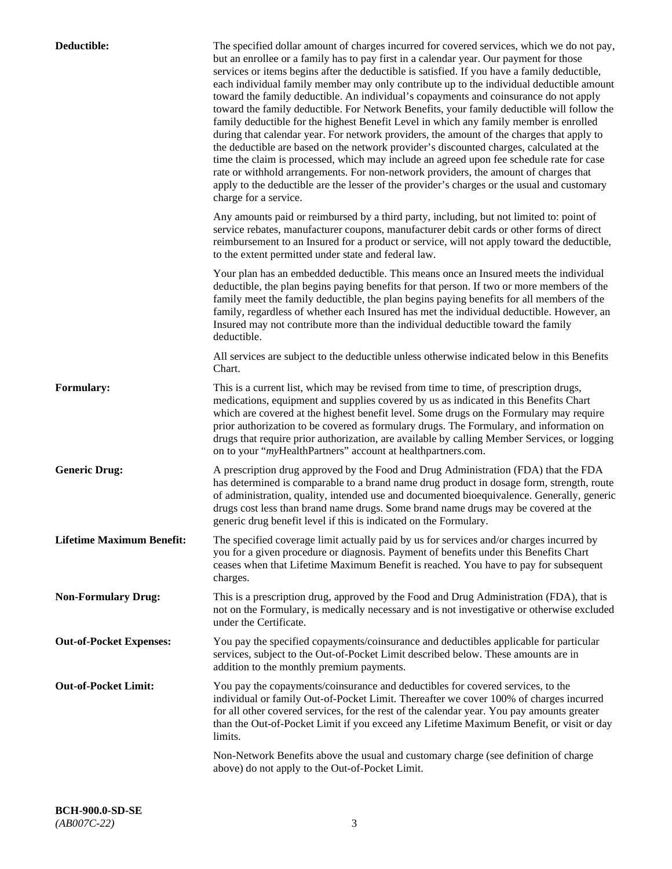| Deductible:                      | The specified dollar amount of charges incurred for covered services, which we do not pay,<br>but an enrollee or a family has to pay first in a calendar year. Our payment for those<br>services or items begins after the deductible is satisfied. If you have a family deductible,<br>each individual family member may only contribute up to the individual deductible amount<br>toward the family deductible. An individual's copayments and coinsurance do not apply<br>toward the family deductible. For Network Benefits, your family deductible will follow the<br>family deductible for the highest Benefit Level in which any family member is enrolled<br>during that calendar year. For network providers, the amount of the charges that apply to<br>the deductible are based on the network provider's discounted charges, calculated at the<br>time the claim is processed, which may include an agreed upon fee schedule rate for case<br>rate or withhold arrangements. For non-network providers, the amount of charges that<br>apply to the deductible are the lesser of the provider's charges or the usual and customary<br>charge for a service. |
|----------------------------------|------------------------------------------------------------------------------------------------------------------------------------------------------------------------------------------------------------------------------------------------------------------------------------------------------------------------------------------------------------------------------------------------------------------------------------------------------------------------------------------------------------------------------------------------------------------------------------------------------------------------------------------------------------------------------------------------------------------------------------------------------------------------------------------------------------------------------------------------------------------------------------------------------------------------------------------------------------------------------------------------------------------------------------------------------------------------------------------------------------------------------------------------------------------------|
|                                  | Any amounts paid or reimbursed by a third party, including, but not limited to: point of<br>service rebates, manufacturer coupons, manufacturer debit cards or other forms of direct<br>reimbursement to an Insured for a product or service, will not apply toward the deductible,<br>to the extent permitted under state and federal law.                                                                                                                                                                                                                                                                                                                                                                                                                                                                                                                                                                                                                                                                                                                                                                                                                            |
|                                  | Your plan has an embedded deductible. This means once an Insured meets the individual<br>deductible, the plan begins paying benefits for that person. If two or more members of the<br>family meet the family deductible, the plan begins paying benefits for all members of the<br>family, regardless of whether each Insured has met the individual deductible. However, an<br>Insured may not contribute more than the individual deductible toward the family<br>deductible.                                                                                                                                                                                                                                                                                                                                                                                                                                                                                                                                                                                                                                                                                       |
|                                  | All services are subject to the deductible unless otherwise indicated below in this Benefits<br>Chart.                                                                                                                                                                                                                                                                                                                                                                                                                                                                                                                                                                                                                                                                                                                                                                                                                                                                                                                                                                                                                                                                 |
| <b>Formulary:</b>                | This is a current list, which may be revised from time to time, of prescription drugs,<br>medications, equipment and supplies covered by us as indicated in this Benefits Chart<br>which are covered at the highest benefit level. Some drugs on the Formulary may require<br>prior authorization to be covered as formulary drugs. The Formulary, and information on<br>drugs that require prior authorization, are available by calling Member Services, or logging<br>on to your "myHealthPartners" account at healthpartners.com.                                                                                                                                                                                                                                                                                                                                                                                                                                                                                                                                                                                                                                  |
| <b>Generic Drug:</b>             | A prescription drug approved by the Food and Drug Administration (FDA) that the FDA<br>has determined is comparable to a brand name drug product in dosage form, strength, route<br>of administration, quality, intended use and documented bioequivalence. Generally, generic<br>drugs cost less than brand name drugs. Some brand name drugs may be covered at the<br>generic drug benefit level if this is indicated on the Formulary.                                                                                                                                                                                                                                                                                                                                                                                                                                                                                                                                                                                                                                                                                                                              |
| <b>Lifetime Maximum Benefit:</b> | The specified coverage limit actually paid by us for services and/or charges incurred by<br>you for a given procedure or diagnosis. Payment of benefits under this Benefits Chart<br>ceases when that Lifetime Maximum Benefit is reached. You have to pay for subsequent<br>charges.                                                                                                                                                                                                                                                                                                                                                                                                                                                                                                                                                                                                                                                                                                                                                                                                                                                                                  |
| <b>Non-Formulary Drug:</b>       | This is a prescription drug, approved by the Food and Drug Administration (FDA), that is<br>not on the Formulary, is medically necessary and is not investigative or otherwise excluded<br>under the Certificate.                                                                                                                                                                                                                                                                                                                                                                                                                                                                                                                                                                                                                                                                                                                                                                                                                                                                                                                                                      |
| <b>Out-of-Pocket Expenses:</b>   | You pay the specified copayments/coinsurance and deductibles applicable for particular<br>services, subject to the Out-of-Pocket Limit described below. These amounts are in<br>addition to the monthly premium payments.                                                                                                                                                                                                                                                                                                                                                                                                                                                                                                                                                                                                                                                                                                                                                                                                                                                                                                                                              |
| <b>Out-of-Pocket Limit:</b>      | You pay the copayments/coinsurance and deductibles for covered services, to the<br>individual or family Out-of-Pocket Limit. Thereafter we cover 100% of charges incurred<br>for all other covered services, for the rest of the calendar year. You pay amounts greater<br>than the Out-of-Pocket Limit if you exceed any Lifetime Maximum Benefit, or visit or day<br>limits.                                                                                                                                                                                                                                                                                                                                                                                                                                                                                                                                                                                                                                                                                                                                                                                         |
|                                  | Non-Network Benefits above the usual and customary charge (see definition of charge<br>above) do not apply to the Out-of-Pocket Limit.                                                                                                                                                                                                                                                                                                                                                                                                                                                                                                                                                                                                                                                                                                                                                                                                                                                                                                                                                                                                                                 |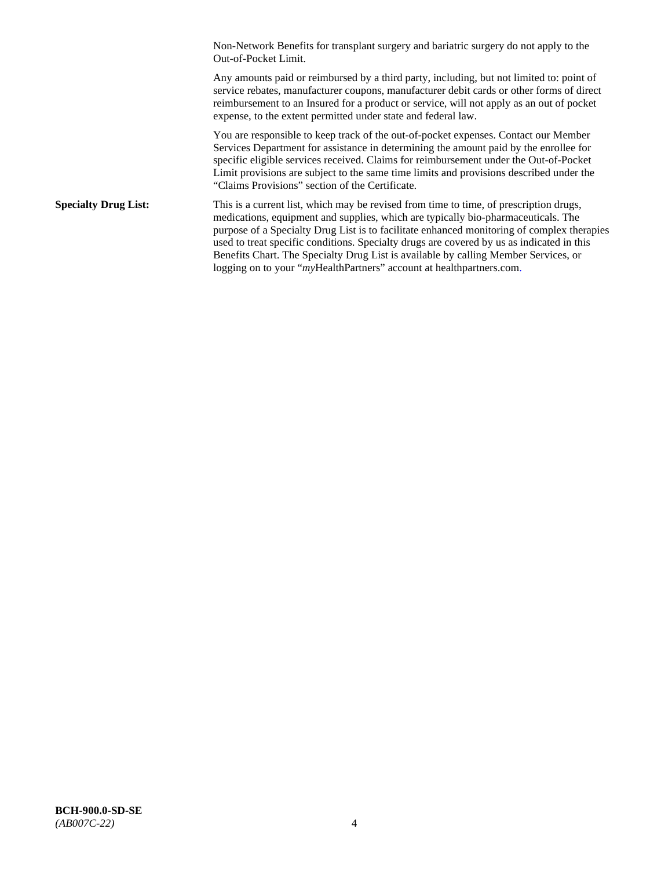Non-Network Benefits for transplant surgery and bariatric surgery do not apply to the Out-of-Pocket Limit.

Any amounts paid or reimbursed by a third party, including, but not limited to: point of service rebates, manufacturer coupons, manufacturer debit cards or other forms of direct reimbursement to an Insured for a product or service, will not apply as an out of pocket expense, to the extent permitted under state and federal law.

You are responsible to keep track of the out-of-pocket expenses. Contact our Member Services Department for assistance in determining the amount paid by the enrollee for specific eligible services received. Claims for reimbursement under the Out-of-Pocket Limit provisions are subject to the same time limits and provisions described under the "Claims Provisions" section of the Certificate.

**Specialty Drug List:** This is a current list, which may be revised from time to time, of prescription drugs, medications, equipment and supplies, which are typically bio-pharmaceuticals. The purpose of a Specialty Drug List is to facilitate enhanced monitoring of complex therapies used to treat specific conditions. Specialty drugs are covered by us as indicated in this Benefits Chart. The Specialty Drug List is available by calling Member Services, or logging on to your "myHealthPartners" account at [healthpartners.com.](http://healthpartners.com/)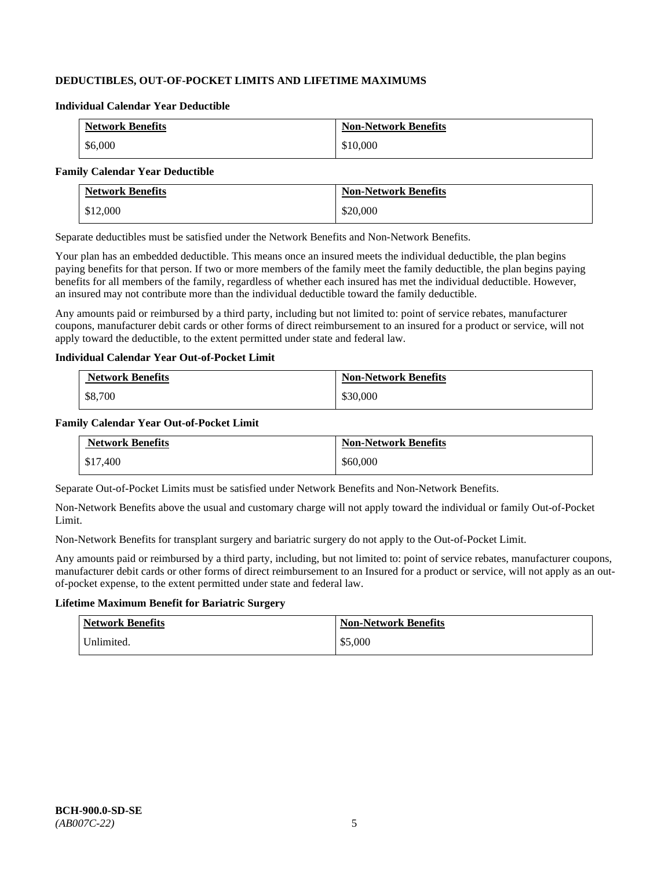# **DEDUCTIBLES, OUT-OF-POCKET LIMITS AND LIFETIME MAXIMUMS**

#### **Individual Calendar Year Deductible**

| <b>Network Benefits</b> | <b>Non-Network Benefits</b> |
|-------------------------|-----------------------------|
| \$6,000                 | \$10,000                    |

#### **Family Calendar Year Deductible**

| <b>Network Benefits</b> | <b>Non-Network Benefits</b> |
|-------------------------|-----------------------------|
| \$12,000                | \$20,000                    |

Separate deductibles must be satisfied under the Network Benefits and Non-Network Benefits.

Your plan has an embedded deductible. This means once an insured meets the individual deductible, the plan begins paying benefits for that person. If two or more members of the family meet the family deductible, the plan begins paying benefits for all members of the family, regardless of whether each insured has met the individual deductible. However, an insured may not contribute more than the individual deductible toward the family deductible.

Any amounts paid or reimbursed by a third party, including but not limited to: point of service rebates, manufacturer coupons, manufacturer debit cards or other forms of direct reimbursement to an insured for a product or service, will not apply toward the deductible, to the extent permitted under state and federal law.

#### **Individual Calendar Year Out-of-Pocket Limit**

| <b>Network Benefits</b> | <b>Non-Network Benefits</b> |
|-------------------------|-----------------------------|
| \$8,700                 | \$30,000                    |

#### **Family Calendar Year Out-of-Pocket Limit**

| <b>Network Benefits</b> | <b>Non-Network Benefits</b> |
|-------------------------|-----------------------------|
| \$17,400                | \$60,000                    |

Separate Out-of-Pocket Limits must be satisfied under Network Benefits and Non-Network Benefits.

Non-Network Benefits above the usual and customary charge will not apply toward the individual or family Out-of-Pocket Limit.

Non-Network Benefits for transplant surgery and bariatric surgery do not apply to the Out-of-Pocket Limit.

Any amounts paid or reimbursed by a third party, including, but not limited to: point of service rebates, manufacturer coupons, manufacturer debit cards or other forms of direct reimbursement to an Insured for a product or service, will not apply as an outof-pocket expense, to the extent permitted under state and federal law.

# **Lifetime Maximum Benefit for Bariatric Surgery**

| <b>Network Benefits</b> | <b>Non-Network Benefits</b> |
|-------------------------|-----------------------------|
| Unlimited.              | \$5,000                     |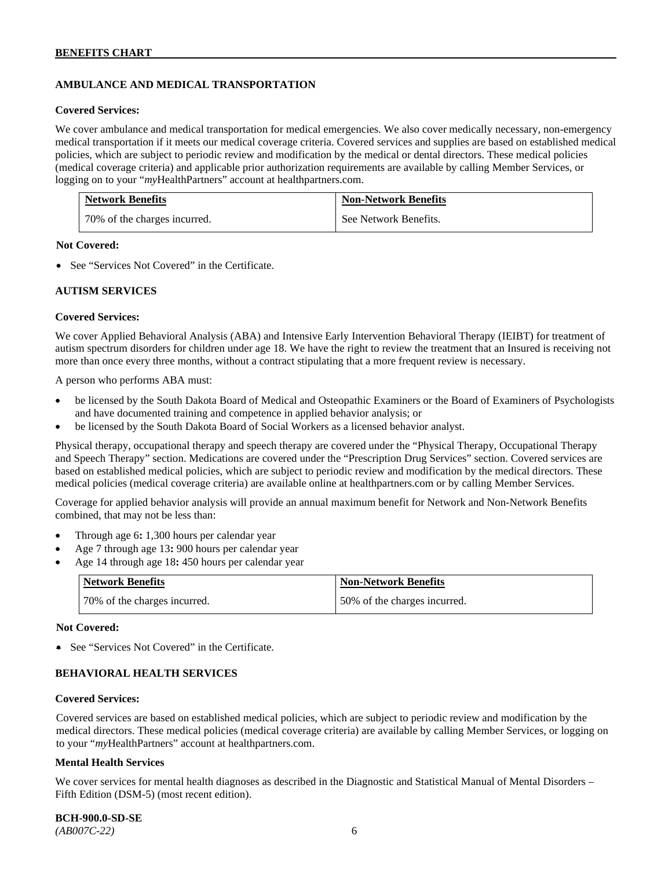# **AMBULANCE AND MEDICAL TRANSPORTATION**

#### **Covered Services:**

We cover ambulance and medical transportation for medical emergencies. We also cover medically necessary, non-emergency medical transportation if it meets our medical coverage criteria. Covered services and supplies are based on established medical policies, which are subject to periodic review and modification by the medical or dental directors. These medical policies (medical coverage criteria) and applicable prior authorization requirements are available by calling Member Services, or logging on to your "*my*HealthPartners" account at [healthpartners.com.](http://healthpartners.com/)

| <b>Network Benefits</b>      | <b>Non-Network Benefits</b> |
|------------------------------|-----------------------------|
| 70% of the charges incurred. | See Network Benefits.       |

#### **Not Covered:**

• See "Services Not Covered" in the Certificate.

#### **AUTISM SERVICES**

#### **Covered Services:**

We cover Applied Behavioral Analysis (ABA) and Intensive Early Intervention Behavioral Therapy (IEIBT) for treatment of autism spectrum disorders for children under age 18. We have the right to review the treatment that an Insured is receiving not more than once every three months, without a contract stipulating that a more frequent review is necessary.

A person who performs ABA must:

- be licensed by the South Dakota Board of Medical and Osteopathic Examiners or the Board of Examiners of Psychologists and have documented training and competence in applied behavior analysis; or
- be licensed by the South Dakota Board of Social Workers as a licensed behavior analyst.

Physical therapy, occupational therapy and speech therapy are covered under the "Physical Therapy, Occupational Therapy and Speech Therapy" section. Medications are covered under the "Prescription Drug Services" section. Covered services are based on established medical policies, which are subject to periodic review and modification by the medical directors. These medical policies (medical coverage criteria) are available online at [healthpartners.com](http://healthpartners.com/) or by calling Member Services.

Coverage for applied behavior analysis will provide an annual maximum benefit for Network and Non-Network Benefits combined, that may not be less than:

- Through age 6**:** 1,300 hours per calendar year
- Age 7 through age 13**:** 900 hours per calendar year
- Age 14 through age 18**:** 450 hours per calendar year

| <b>Network Benefits</b>      | <b>Non-Network Benefits</b>  |
|------------------------------|------------------------------|
| 70% of the charges incurred. | 50% of the charges incurred. |

#### **Not Covered:**

• See "Services Not Covered" in the Certificate.

## **BEHAVIORAL HEALTH SERVICES**

#### **Covered Services:**

Covered services are based on established medical policies, which are subject to periodic review and modification by the medical directors. These medical policies (medical coverage criteria) are available by calling Member Services, or logging on to your "*my*HealthPartners" account at [healthpartners.com.](http://healthpartners.com/)

#### **Mental Health Services**

We cover services for mental health diagnoses as described in the Diagnostic and Statistical Manual of Mental Disorders – Fifth Edition (DSM-5) (most recent edition).

**BCH-900.0-SD-SE**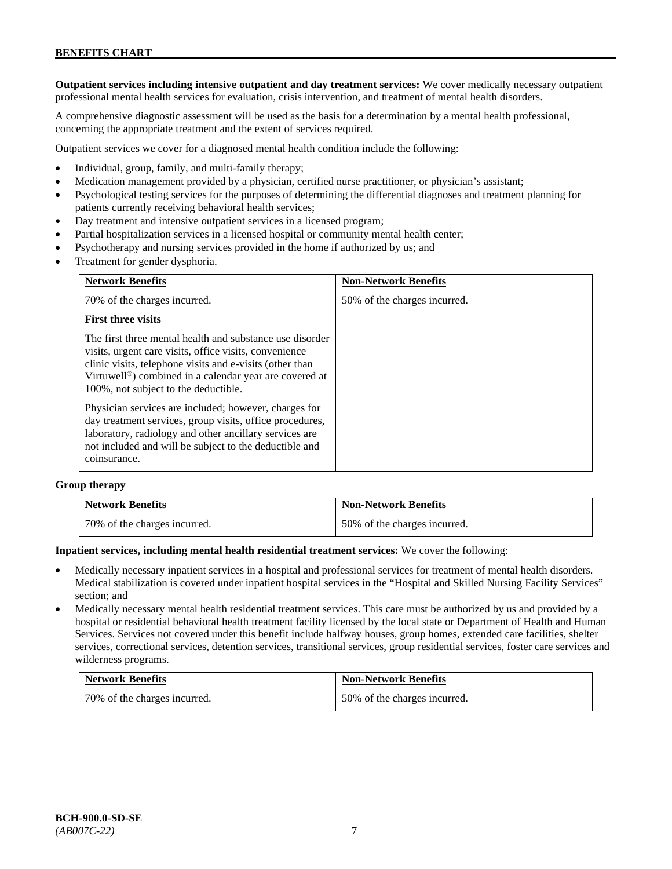**Outpatient services including intensive outpatient and day treatment services:** We cover medically necessary outpatient professional mental health services for evaluation, crisis intervention, and treatment of mental health disorders.

A comprehensive diagnostic assessment will be used as the basis for a determination by a mental health professional, concerning the appropriate treatment and the extent of services required.

Outpatient services we cover for a diagnosed mental health condition include the following:

- Individual, group, family, and multi-family therapy;
- Medication management provided by a physician, certified nurse practitioner, or physician's assistant;
- Psychological testing services for the purposes of determining the differential diagnoses and treatment planning for patients currently receiving behavioral health services;
- Day treatment and intensive outpatient services in a licensed program;
- Partial hospitalization services in a licensed hospital or community mental health center;
- Psychotherapy and nursing services provided in the home if authorized by us; and
- Treatment for gender dysphoria.

| <b>Network Benefits</b>                                                                                                                                                                                                                                                                       | <b>Non-Network Benefits</b>  |
|-----------------------------------------------------------------------------------------------------------------------------------------------------------------------------------------------------------------------------------------------------------------------------------------------|------------------------------|
| 70% of the charges incurred.                                                                                                                                                                                                                                                                  | 50% of the charges incurred. |
| <b>First three visits</b>                                                                                                                                                                                                                                                                     |                              |
| The first three mental health and substance use disorder<br>visits, urgent care visits, office visits, convenience<br>clinic visits, telephone visits and e-visits (other than<br>Virtuwell <sup>®</sup> ) combined in a calendar year are covered at<br>100%, not subject to the deductible. |                              |
| Physician services are included; however, charges for<br>day treatment services, group visits, office procedures,<br>laboratory, radiology and other ancillary services are<br>not included and will be subject to the deductible and<br>coinsurance.                                         |                              |

#### **Group therapy**

| <b>Network Benefits</b>      | <b>Non-Network Benefits</b>  |
|------------------------------|------------------------------|
| 70% of the charges incurred. | 50% of the charges incurred. |

#### **Inpatient services, including mental health residential treatment services:** We cover the following:

- Medically necessary inpatient services in a hospital and professional services for treatment of mental health disorders. Medical stabilization is covered under inpatient hospital services in the "Hospital and Skilled Nursing Facility Services" section; and
- Medically necessary mental health residential treatment services. This care must be authorized by us and provided by a hospital or residential behavioral health treatment facility licensed by the local state or Department of Health and Human Services. Services not covered under this benefit include halfway houses, group homes, extended care facilities, shelter services, correctional services, detention services, transitional services, group residential services, foster care services and wilderness programs.

| <b>Network Benefits</b>      | <b>Non-Network Benefits</b>  |
|------------------------------|------------------------------|
| 70% of the charges incurred. | 50% of the charges incurred. |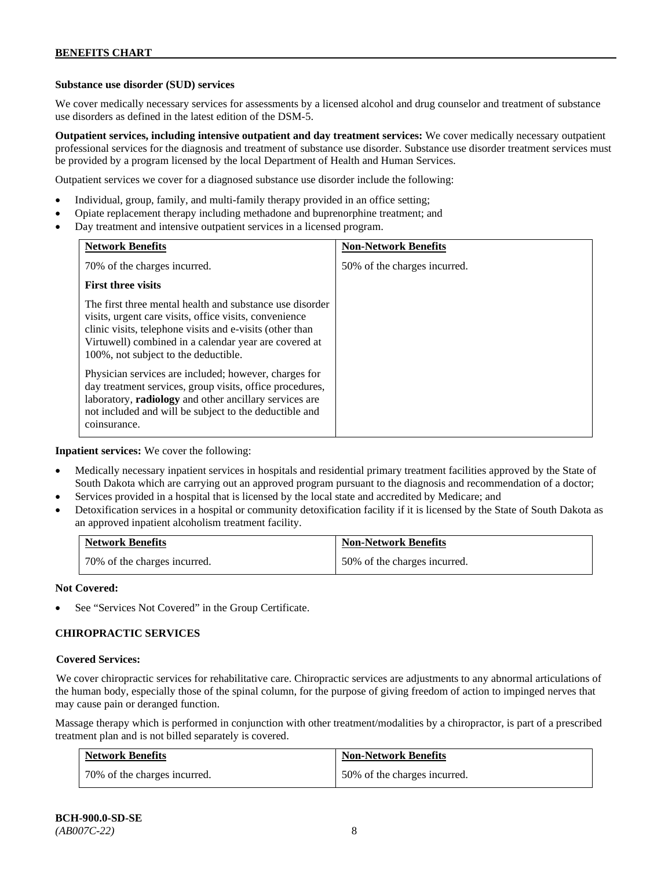## **Substance use disorder (SUD) services**

We cover medically necessary services for assessments by a licensed alcohol and drug counselor and treatment of substance use disorders as defined in the latest edition of the DSM-5.

**Outpatient services, including intensive outpatient and day treatment services:** We cover medically necessary outpatient professional services for the diagnosis and treatment of substance use disorder. Substance use disorder treatment services must be provided by a program licensed by the local Department of Health and Human Services.

Outpatient services we cover for a diagnosed substance use disorder include the following:

- Individual, group, family, and multi-family therapy provided in an office setting;
- Opiate replacement therapy including methadone and buprenorphine treatment; and
- Day treatment and intensive outpatient services in a licensed program.

| <b>Network Benefits</b>                                                                                                                                                                                                                                                         | <b>Non-Network Benefits</b>  |
|---------------------------------------------------------------------------------------------------------------------------------------------------------------------------------------------------------------------------------------------------------------------------------|------------------------------|
| 70% of the charges incurred.                                                                                                                                                                                                                                                    | 50% of the charges incurred. |
| <b>First three visits</b>                                                                                                                                                                                                                                                       |                              |
| The first three mental health and substance use disorder<br>visits, urgent care visits, office visits, convenience<br>clinic visits, telephone visits and e-visits (other than<br>Virtuwell) combined in a calendar year are covered at<br>100%, not subject to the deductible. |                              |
| Physician services are included; however, charges for<br>day treatment services, group visits, office procedures,<br>laboratory, radiology and other ancillary services are<br>not included and will be subject to the deductible and<br>coinsurance.                           |                              |

**Inpatient services:** We cover the following:

- Medically necessary inpatient services in hospitals and residential primary treatment facilities approved by the State of South Dakota which are carrying out an approved program pursuant to the diagnosis and recommendation of a doctor;
- Services provided in a hospital that is licensed by the local state and accredited by Medicare; and
- Detoxification services in a hospital or community detoxification facility if it is licensed by the State of South Dakota as an approved inpatient alcoholism treatment facility.

| <b>Network Benefits</b> |                              | <b>Non-Network Benefits</b>  |
|-------------------------|------------------------------|------------------------------|
|                         | 70% of the charges incurred. | 50% of the charges incurred. |

**Not Covered:**

See "Services Not Covered" in the Group Certificate.

## **CHIROPRACTIC SERVICES**

#### **Covered Services:**

We cover chiropractic services for rehabilitative care. Chiropractic services are adjustments to any abnormal articulations of the human body, especially those of the spinal column, for the purpose of giving freedom of action to impinged nerves that may cause pain or deranged function.

Massage therapy which is performed in conjunction with other treatment/modalities by a chiropractor, is part of a prescribed treatment plan and is not billed separately is covered.

| <b>Network Benefits</b>      | <b>Non-Network Benefits</b>  |
|------------------------------|------------------------------|
| 70% of the charges incurred. | 50% of the charges incurred. |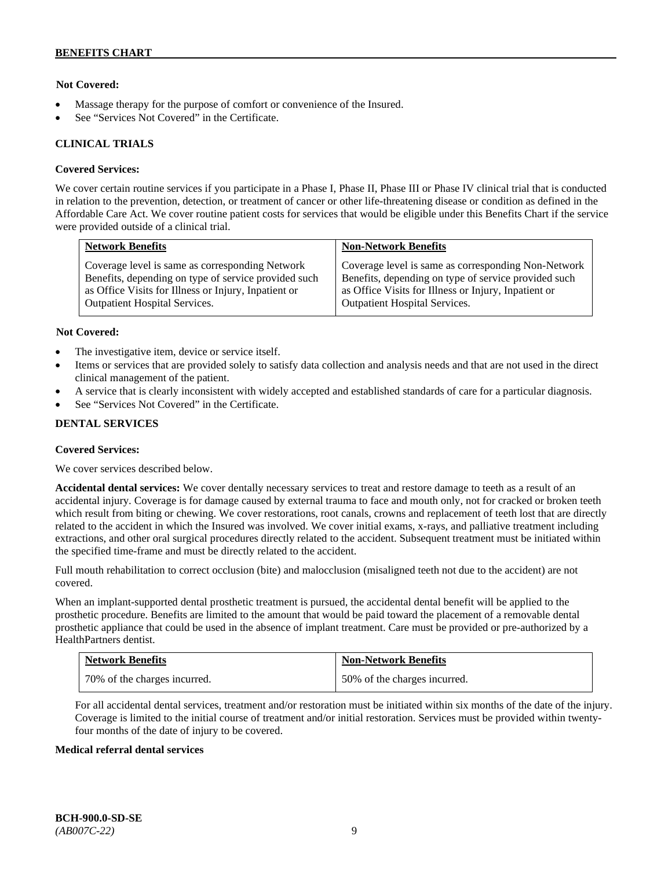## **Not Covered:**

- Massage therapy for the purpose of comfort or convenience of the Insured.
- See "Services Not Covered" in the Certificate.

#### **CLINICAL TRIALS**

#### **Covered Services:**

We cover certain routine services if you participate in a Phase I, Phase II, Phase III or Phase IV clinical trial that is conducted in relation to the prevention, detection, or treatment of cancer or other life-threatening disease or condition as defined in the Affordable Care Act. We cover routine patient costs for services that would be eligible under this Benefits Chart if the service were provided outside of a clinical trial.

| <b>Network Benefits</b>                              | <b>Non-Network Benefits</b>                          |
|------------------------------------------------------|------------------------------------------------------|
| Coverage level is same as corresponding Network      | Coverage level is same as corresponding Non-Network  |
| Benefits, depending on type of service provided such | Benefits, depending on type of service provided such |
| as Office Visits for Illness or Injury, Inpatient or | as Office Visits for Illness or Injury, Inpatient or |
| <b>Outpatient Hospital Services.</b>                 | Outpatient Hospital Services.                        |

#### **Not Covered:**

- The investigative item, device or service itself.
- Items or services that are provided solely to satisfy data collection and analysis needs and that are not used in the direct clinical management of the patient.
- A service that is clearly inconsistent with widely accepted and established standards of care for a particular diagnosis.
- See "Services Not Covered" in the Certificate.

## **DENTAL SERVICES**

#### **Covered Services:**

We cover services described below.

**Accidental dental services:** We cover dentally necessary services to treat and restore damage to teeth as a result of an accidental injury. Coverage is for damage caused by external trauma to face and mouth only, not for cracked or broken teeth which result from biting or chewing. We cover restorations, root canals, crowns and replacement of teeth lost that are directly related to the accident in which the Insured was involved. We cover initial exams, x-rays, and palliative treatment including extractions, and other oral surgical procedures directly related to the accident. Subsequent treatment must be initiated within the specified time-frame and must be directly related to the accident.

Full mouth rehabilitation to correct occlusion (bite) and malocclusion (misaligned teeth not due to the accident) are not covered.

When an implant-supported dental prosthetic treatment is pursued, the accidental dental benefit will be applied to the prosthetic procedure. Benefits are limited to the amount that would be paid toward the placement of a removable dental prosthetic appliance that could be used in the absence of implant treatment. Care must be provided or pre-authorized by a HealthPartners dentist.

| <b>Network Benefits</b>      | <b>Non-Network Benefits</b>  |
|------------------------------|------------------------------|
| 70% of the charges incurred. | 50% of the charges incurred. |

For all accidental dental services, treatment and/or restoration must be initiated within six months of the date of the injury. Coverage is limited to the initial course of treatment and/or initial restoration. Services must be provided within twentyfour months of the date of injury to be covered.

#### **Medical referral dental services**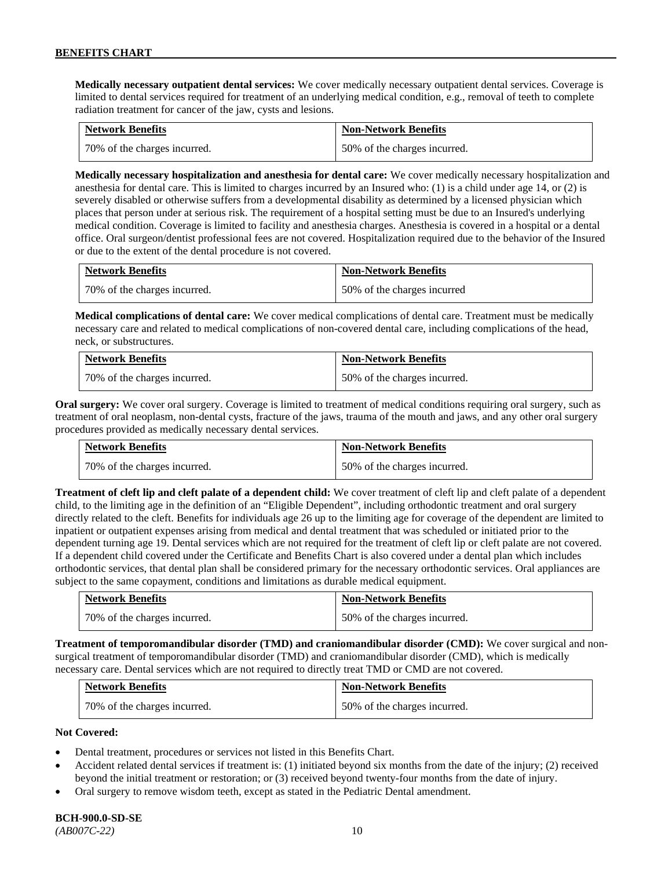**Medically necessary outpatient dental services:** We cover medically necessary outpatient dental services. Coverage is limited to dental services required for treatment of an underlying medical condition, e.g., removal of teeth to complete radiation treatment for cancer of the jaw, cysts and lesions.

| <b>Network Benefits</b>      | <b>Non-Network Benefits</b>  |
|------------------------------|------------------------------|
| 70% of the charges incurred. | 50% of the charges incurred. |

**Medically necessary hospitalization and anesthesia for dental care:** We cover medically necessary hospitalization and anesthesia for dental care. This is limited to charges incurred by an Insured who: (1) is a child under age 14, or (2) is severely disabled or otherwise suffers from a developmental disability as determined by a licensed physician which places that person under at serious risk. The requirement of a hospital setting must be due to an Insured's underlying medical condition. Coverage is limited to facility and anesthesia charges. Anesthesia is covered in a hospital or a dental office. Oral surgeon/dentist professional fees are not covered. Hospitalization required due to the behavior of the Insured or due to the extent of the dental procedure is not covered.

| <b>Network Benefits</b>       | <b>Non-Network Benefits</b> |
|-------------------------------|-----------------------------|
| 170% of the charges incurred. | 50% of the charges incurred |

**Medical complications of dental care:** We cover medical complications of dental care. Treatment must be medically necessary care and related to medical complications of non-covered dental care, including complications of the head, neck, or substructures.

| <b>Network Benefits</b>      | <b>Non-Network Benefits</b>  |
|------------------------------|------------------------------|
| 70% of the charges incurred. | 50% of the charges incurred. |

**Oral surgery:** We cover oral surgery. Coverage is limited to treatment of medical conditions requiring oral surgery, such as treatment of oral neoplasm, non-dental cysts, fracture of the jaws, trauma of the mouth and jaws, and any other oral surgery procedures provided as medically necessary dental services.

| <b>Network Benefits</b>      | <b>Non-Network Benefits</b>  |
|------------------------------|------------------------------|
| 70% of the charges incurred. | 50% of the charges incurred. |

**Treatment of cleft lip and cleft palate of a dependent child:** We cover treatment of cleft lip and cleft palate of a dependent child, to the limiting age in the definition of an "Eligible Dependent", including orthodontic treatment and oral surgery directly related to the cleft. Benefits for individuals age 26 up to the limiting age for coverage of the dependent are limited to inpatient or outpatient expenses arising from medical and dental treatment that was scheduled or initiated prior to the dependent turning age 19. Dental services which are not required for the treatment of cleft lip or cleft palate are not covered. If a dependent child covered under the Certificate and Benefits Chart is also covered under a dental plan which includes orthodontic services, that dental plan shall be considered primary for the necessary orthodontic services. Oral appliances are subject to the same copayment, conditions and limitations as durable medical equipment.

| <b>Network Benefits</b>      | <b>Non-Network Benefits</b>  |
|------------------------------|------------------------------|
| 70% of the charges incurred. | 50% of the charges incurred. |

**Treatment of temporomandibular disorder (TMD) and craniomandibular disorder (CMD):** We cover surgical and nonsurgical treatment of temporomandibular disorder (TMD) and craniomandibular disorder (CMD), which is medically necessary care. Dental services which are not required to directly treat TMD or CMD are not covered.

| <b>Network Benefits</b>      | <b>Non-Network Benefits</b>  |
|------------------------------|------------------------------|
| 70% of the charges incurred. | 50% of the charges incurred. |

## **Not Covered:**

- Dental treatment, procedures or services not listed in this Benefits Chart.
- Accident related dental services if treatment is: (1) initiated beyond six months from the date of the injury; (2) received beyond the initial treatment or restoration; or (3) received beyond twenty-four months from the date of injury.
- Oral surgery to remove wisdom teeth, except as stated in the Pediatric Dental amendment.

# **BCH-900.0-SD-SE**

*(AB007C-22)* 10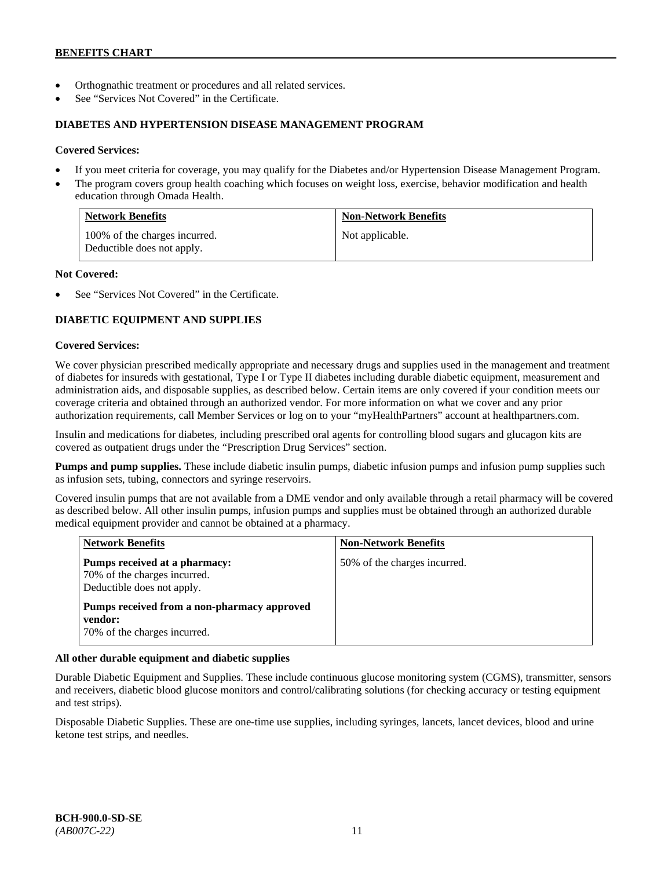- Orthognathic treatment or procedures and all related services.
- See "Services Not Covered" in the Certificate.

#### **DIABETES AND HYPERTENSION DISEASE MANAGEMENT PROGRAM**

#### **Covered Services:**

- If you meet criteria for coverage, you may qualify for the Diabetes and/or Hypertension Disease Management Program.
- The program covers group health coaching which focuses on weight loss, exercise, behavior modification and health education through Omada Health.

| <b>Network Benefits</b>                                     | <b>Non-Network Benefits</b> |
|-------------------------------------------------------------|-----------------------------|
| 100% of the charges incurred.<br>Deductible does not apply. | Not applicable.             |

#### **Not Covered:**

See "Services Not Covered" in the Certificate.

# **DIABETIC EQUIPMENT AND SUPPLIES**

#### **Covered Services:**

We cover physician prescribed medically appropriate and necessary drugs and supplies used in the management and treatment of diabetes for insureds with gestational, Type I or Type II diabetes including durable diabetic equipment, measurement and administration aids, and disposable supplies, as described below. Certain items are only covered if your condition meets our coverage criteria and obtained through an authorized vendor. For more information on what we cover and any prior authorization requirements, call Member Services or log on to your "myHealthPartners" account at [healthpartners.com.](http://www.healthpartners.com/)

Insulin and medications for diabetes, including prescribed oral agents for controlling blood sugars and glucagon kits are covered as outpatient drugs under the "Prescription Drug Services" section.

**Pumps and pump supplies.** These include diabetic insulin pumps, diabetic infusion pumps and infusion pump supplies such as infusion sets, tubing, connectors and syringe reservoirs.

Covered insulin pumps that are not available from a DME vendor and only available through a retail pharmacy will be covered as described below. All other insulin pumps, infusion pumps and supplies must be obtained through an authorized durable medical equipment provider and cannot be obtained at a pharmacy.

| <b>Network Benefits</b>                                                                     | <b>Non-Network Benefits</b>  |
|---------------------------------------------------------------------------------------------|------------------------------|
| Pumps received at a pharmacy:<br>70% of the charges incurred.<br>Deductible does not apply. | 50% of the charges incurred. |
| Pumps received from a non-pharmacy approved<br>vendor:<br>70% of the charges incurred.      |                              |

## **All other durable equipment and diabetic supplies**

Durable Diabetic Equipment and Supplies. These include continuous glucose monitoring system (CGMS), transmitter, sensors and receivers, diabetic blood glucose monitors and control/calibrating solutions (for checking accuracy or testing equipment and test strips).

Disposable Diabetic Supplies. These are one-time use supplies, including syringes, lancets, lancet devices, blood and urine ketone test strips, and needles.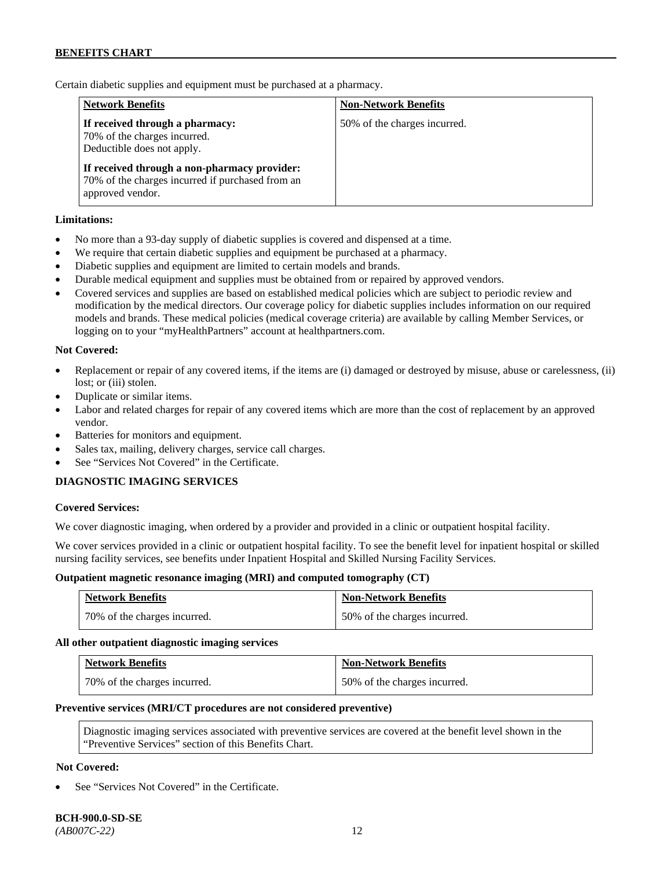Certain diabetic supplies and equipment must be purchased at a pharmacy.

| <b>Network Benefits</b>                                                                                              | <b>Non-Network Benefits</b>  |
|----------------------------------------------------------------------------------------------------------------------|------------------------------|
| If received through a pharmacy:<br>70% of the charges incurred.<br>Deductible does not apply.                        | 50% of the charges incurred. |
| If received through a non-pharmacy provider:<br>70% of the charges incurred if purchased from an<br>approved vendor. |                              |

## **Limitations:**

- No more than a 93-day supply of diabetic supplies is covered and dispensed at a time.
- We require that certain diabetic supplies and equipment be purchased at a pharmacy.
- Diabetic supplies and equipment are limited to certain models and brands.
- Durable medical equipment and supplies must be obtained from or repaired by approved vendors.
- Covered services and supplies are based on established medical policies which are subject to periodic review and modification by the medical directors. Our coverage policy for diabetic supplies includes information on our required models and brands. These medical policies (medical coverage criteria) are available by calling Member Services, or logging on to your "myHealthPartners" account at [healthpartners.com.](http://www.healthpartners.com/)

## **Not Covered:**

- Replacement or repair of any covered items, if the items are (i) damaged or destroyed by misuse, abuse or carelessness, (ii) lost; or (iii) stolen.
- Duplicate or similar items.
- Labor and related charges for repair of any covered items which are more than the cost of replacement by an approved vendor.
- Batteries for monitors and equipment.
- Sales tax, mailing, delivery charges, service call charges.
- See "Services Not Covered" in the Certificate.

## **DIAGNOSTIC IMAGING SERVICES**

#### **Covered Services:**

We cover diagnostic imaging, when ordered by a provider and provided in a clinic or outpatient hospital facility.

We cover services provided in a clinic or outpatient hospital facility. To see the benefit level for inpatient hospital or skilled nursing facility services, see benefits under Inpatient Hospital and Skilled Nursing Facility Services.

#### **Outpatient magnetic resonance imaging (MRI) and computed tomography (CT)**

| <b>Network Benefits</b>      | <b>Non-Network Benefits</b>  |
|------------------------------|------------------------------|
| 70% of the charges incurred. | 50% of the charges incurred. |

#### **All other outpatient diagnostic imaging services**

| <b>Network Benefits</b>      | <b>Non-Network Benefits</b>  |
|------------------------------|------------------------------|
| 70% of the charges incurred. | 50% of the charges incurred. |

#### **Preventive services (MRI/CT procedures are not considered preventive)**

Diagnostic imaging services associated with preventive services are covered at the benefit level shown in the "Preventive Services" section of this Benefits Chart.

#### **Not Covered:**

See "Services Not Covered" in the Certificate.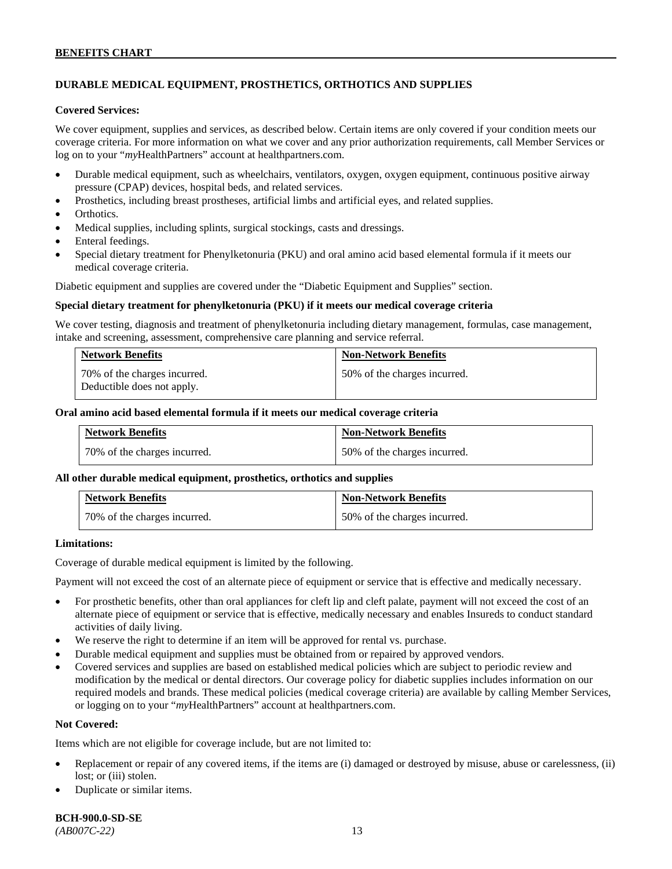# **DURABLE MEDICAL EQUIPMENT, PROSTHETICS, ORTHOTICS AND SUPPLIES**

#### **Covered Services:**

We cover equipment, supplies and services, as described below. Certain items are only covered if your condition meets our coverage criteria. For more information on what we cover and any prior authorization requirements, call Member Services or log on to your "*my*HealthPartners" account at [healthpartners.com.](http://healthpartners.com/)

- Durable medical equipment, such as wheelchairs, ventilators, oxygen, oxygen equipment, continuous positive airway pressure (CPAP) devices, hospital beds, and related services.
- Prosthetics, including breast prostheses, artificial limbs and artificial eyes, and related supplies.
- Orthotics.
- Medical supplies, including splints, surgical stockings, casts and dressings.
- Enteral feedings.
- Special dietary treatment for Phenylketonuria (PKU) and oral amino acid based elemental formula if it meets our medical coverage criteria.

Diabetic equipment and supplies are covered under the "Diabetic Equipment and Supplies" section.

#### **Special dietary treatment for phenylketonuria (PKU) if it meets our medical coverage criteria**

We cover testing, diagnosis and treatment of phenylketonuria including dietary management, formulas, case management, intake and screening, assessment, comprehensive care planning and service referral.

| <b>Network Benefits</b>                                    | <b>Non-Network Benefits</b>  |
|------------------------------------------------------------|------------------------------|
| 70% of the charges incurred.<br>Deductible does not apply. | 50% of the charges incurred. |

#### **Oral amino acid based elemental formula if it meets our medical coverage criteria**

| <b>Network Benefits</b>      | <b>Non-Network Benefits</b>  |
|------------------------------|------------------------------|
| 70% of the charges incurred. | 50% of the charges incurred. |

## **All other durable medical equipment, prosthetics, orthotics and supplies**

| <b>Network Benefits</b>      | <b>Non-Network Benefits</b>  |
|------------------------------|------------------------------|
| 70% of the charges incurred. | 50% of the charges incurred. |

#### **Limitations:**

Coverage of durable medical equipment is limited by the following.

Payment will not exceed the cost of an alternate piece of equipment or service that is effective and medically necessary.

- For prosthetic benefits, other than oral appliances for cleft lip and cleft palate, payment will not exceed the cost of an alternate piece of equipment or service that is effective, medically necessary and enables Insureds to conduct standard activities of daily living.
- We reserve the right to determine if an item will be approved for rental vs. purchase.
- Durable medical equipment and supplies must be obtained from or repaired by approved vendors.
- Covered services and supplies are based on established medical policies which are subject to periodic review and modification by the medical or dental directors. Our coverage policy for diabetic supplies includes information on our required models and brands. These medical policies (medical coverage criteria) are available by calling Member Services, or logging on to your "*my*HealthPartners" account at [healthpartners.com.](http://www.healthpartners.com/)

## **Not Covered:**

Items which are not eligible for coverage include, but are not limited to:

- Replacement or repair of any covered items, if the items are (i) damaged or destroyed by misuse, abuse or carelessness, (ii) lost; or (iii) stolen.
- Duplicate or similar items.

**BCH-900.0-SD-SE** 

*(AB007C-22)* 13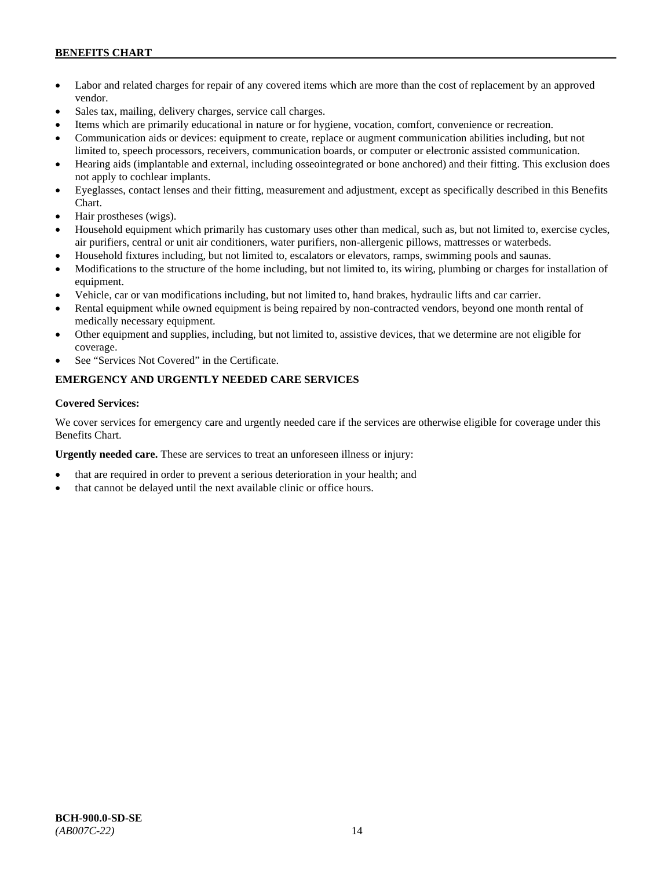- Labor and related charges for repair of any covered items which are more than the cost of replacement by an approved vendor.
- Sales tax, mailing, delivery charges, service call charges.
- Items which are primarily educational in nature or for hygiene, vocation, comfort, convenience or recreation.
- Communication aids or devices: equipment to create, replace or augment communication abilities including, but not limited to, speech processors, receivers, communication boards, or computer or electronic assisted communication.
- Hearing aids (implantable and external, including osseointegrated or bone anchored) and their fitting. This exclusion does not apply to cochlear implants.
- Eyeglasses, contact lenses and their fitting, measurement and adjustment, except as specifically described in this Benefits Chart.
- Hair prostheses (wigs).
- Household equipment which primarily has customary uses other than medical, such as, but not limited to, exercise cycles, air purifiers, central or unit air conditioners, water purifiers, non-allergenic pillows, mattresses or waterbeds.
- Household fixtures including, but not limited to, escalators or elevators, ramps, swimming pools and saunas.
- Modifications to the structure of the home including, but not limited to, its wiring, plumbing or charges for installation of equipment.
- Vehicle, car or van modifications including, but not limited to, hand brakes, hydraulic lifts and car carrier.
- Rental equipment while owned equipment is being repaired by non-contracted vendors, beyond one month rental of medically necessary equipment.
- Other equipment and supplies, including, but not limited to, assistive devices, that we determine are not eligible for coverage.
- See "Services Not Covered" in the Certificate.

# **EMERGENCY AND URGENTLY NEEDED CARE SERVICES**

## **Covered Services:**

We cover services for emergency care and urgently needed care if the services are otherwise eligible for coverage under this Benefits Chart.

**Urgently needed care.** These are services to treat an unforeseen illness or injury:

- that are required in order to prevent a serious deterioration in your health; and
- that cannot be delayed until the next available clinic or office hours.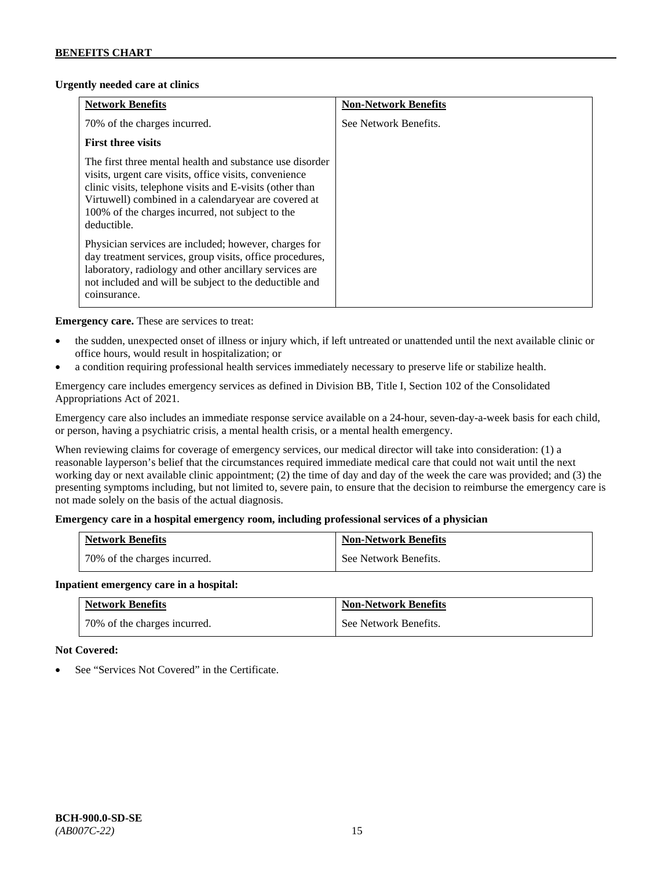## **Urgently needed care at clinics**

| <b>Network Benefits</b>                                                                                                                                                                                                                                                                                   | <b>Non-Network Benefits</b> |
|-----------------------------------------------------------------------------------------------------------------------------------------------------------------------------------------------------------------------------------------------------------------------------------------------------------|-----------------------------|
| 70% of the charges incurred.                                                                                                                                                                                                                                                                              | See Network Benefits.       |
| <b>First three visits</b>                                                                                                                                                                                                                                                                                 |                             |
| The first three mental health and substance use disorder<br>visits, urgent care visits, office visits, convenience<br>clinic visits, telephone visits and E-visits (other than<br>Virtuwell) combined in a calendaryear are covered at<br>100% of the charges incurred, not subject to the<br>deductible. |                             |
| Physician services are included; however, charges for<br>day treatment services, group visits, office procedures,<br>laboratory, radiology and other ancillary services are<br>not included and will be subject to the deductible and<br>coinsurance.                                                     |                             |

**Emergency care.** These are services to treat:

- the sudden, unexpected onset of illness or injury which, if left untreated or unattended until the next available clinic or office hours, would result in hospitalization; or
- a condition requiring professional health services immediately necessary to preserve life or stabilize health.

Emergency care includes emergency services as defined in Division BB, Title I, Section 102 of the Consolidated Appropriations Act of 2021.

Emergency care also includes an immediate response service available on a 24-hour, seven-day-a-week basis for each child, or person, having a psychiatric crisis, a mental health crisis, or a mental health emergency.

When reviewing claims for coverage of emergency services, our medical director will take into consideration: (1) a reasonable layperson's belief that the circumstances required immediate medical care that could not wait until the next working day or next available clinic appointment; (2) the time of day and day of the week the care was provided; and (3) the presenting symptoms including, but not limited to, severe pain, to ensure that the decision to reimburse the emergency care is not made solely on the basis of the actual diagnosis.

## **Emergency care in a hospital emergency room, including professional services of a physician**

| <b>Network Benefits</b>      | <b>Non-Network Benefits</b> |
|------------------------------|-----------------------------|
| 70% of the charges incurred. | See Network Benefits.       |

## **Inpatient emergency care in a hospital:**

| <b>Network Benefits</b>      | <b>Non-Network Benefits</b> |
|------------------------------|-----------------------------|
| 70% of the charges incurred. | See Network Benefits.       |

## **Not Covered:**

See "Services Not Covered" in the Certificate.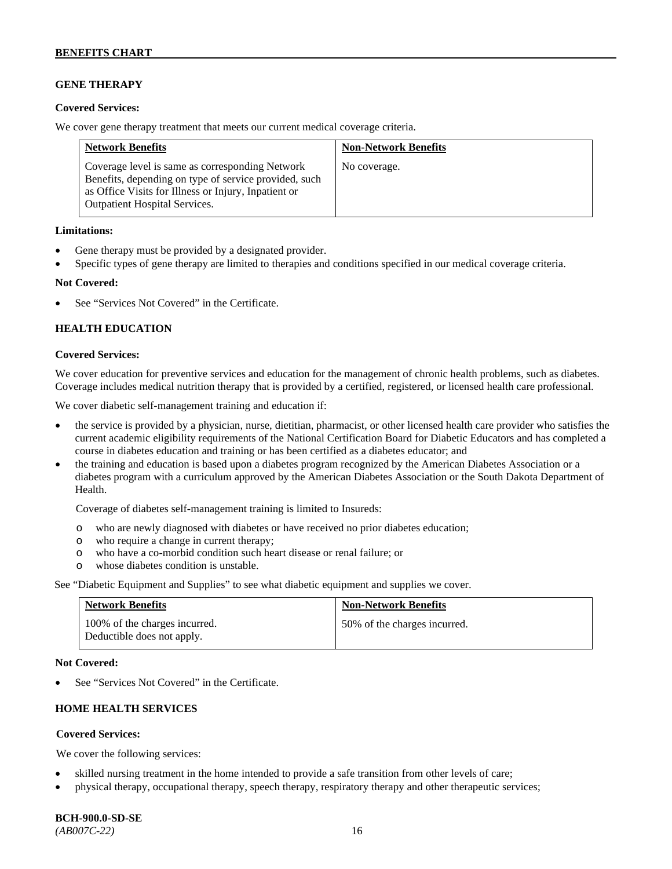# **GENE THERAPY**

#### **Covered Services:**

We cover gene therapy treatment that meets our current medical coverage criteria.

| <b>Network Benefits</b>                                                                                                                                                                                  | <b>Non-Network Benefits</b> |
|----------------------------------------------------------------------------------------------------------------------------------------------------------------------------------------------------------|-----------------------------|
| Coverage level is same as corresponding Network<br>Benefits, depending on type of service provided, such<br>as Office Visits for Illness or Injury, Inpatient or<br><b>Outpatient Hospital Services.</b> | No coverage.                |

#### **Limitations:**

- Gene therapy must be provided by a designated provider.
- Specific types of gene therapy are limited to therapies and conditions specified in our medical coverage criteria.

#### **Not Covered:**

See "Services Not Covered" in the Certificate.

## **HEALTH EDUCATION**

#### **Covered Services:**

We cover education for preventive services and education for the management of chronic health problems, such as diabetes. Coverage includes medical nutrition therapy that is provided by a certified, registered, or licensed health care professional.

We cover diabetic self-management training and education if:

- the service is provided by a physician, nurse, dietitian, pharmacist, or other licensed health care provider who satisfies the current academic eligibility requirements of the National Certification Board for Diabetic Educators and has completed a course in diabetes education and training or has been certified as a diabetes educator; and
- the training and education is based upon a diabetes program recognized by the American Diabetes Association or a diabetes program with a curriculum approved by the American Diabetes Association or the South Dakota Department of Health.

Coverage of diabetes self-management training is limited to Insureds:

- o who are newly diagnosed with diabetes or have received no prior diabetes education;
- o who require a change in current therapy;<br>o who have a co-morbid condition such heal
- who have a co-morbid condition such heart disease or renal failure; or
- o whose diabetes condition is unstable.

See "Diabetic Equipment and Supplies" to see what diabetic equipment and supplies we cover.

| <b>Network Benefits</b>                                     | <b>Non-Network Benefits</b>  |
|-------------------------------------------------------------|------------------------------|
| 100% of the charges incurred.<br>Deductible does not apply. | 50% of the charges incurred. |

#### **Not Covered:**

See "Services Not Covered" in the Certificate.

# **HOME HEALTH SERVICES**

#### **Covered Services:**

We cover the following services:

- skilled nursing treatment in the home intended to provide a safe transition from other levels of care;
- physical therapy, occupational therapy, speech therapy, respiratory therapy and other therapeutic services;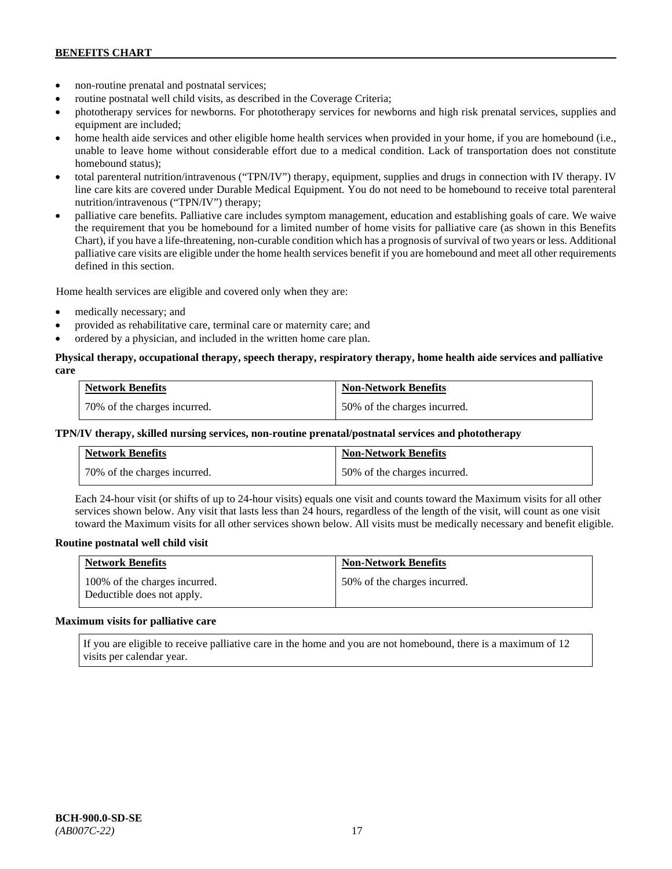- non-routine prenatal and postnatal services;
- routine postnatal well child visits, as described in the Coverage Criteria;
- phototherapy services for newborns. For phototherapy services for newborns and high risk prenatal services, supplies and equipment are included;
- home health aide services and other eligible home health services when provided in your home, if you are homebound (i.e., unable to leave home without considerable effort due to a medical condition. Lack of transportation does not constitute homebound status);
- total parenteral nutrition/intravenous ("TPN/IV") therapy, equipment, supplies and drugs in connection with IV therapy. IV line care kits are covered under Durable Medical Equipment. You do not need to be homebound to receive total parenteral nutrition/intravenous ("TPN/IV") therapy;
- palliative care benefits. Palliative care includes symptom management, education and establishing goals of care. We waive the requirement that you be homebound for a limited number of home visits for palliative care (as shown in this Benefits Chart), if you have a life-threatening, non-curable condition which has a prognosis of survival of two years or less. Additional palliative care visits are eligible under the home health services benefit if you are homebound and meet all other requirements defined in this section.

Home health services are eligible and covered only when they are:

- medically necessary; and
- provided as rehabilitative care, terminal care or maternity care; and
- ordered by a physician, and included in the written home care plan.

## **Physical therapy, occupational therapy, speech therapy, respiratory therapy, home health aide services and palliative care**

| <b>Network Benefits</b>      | <b>Non-Network Benefits</b>  |
|------------------------------|------------------------------|
| 70% of the charges incurred. | 50% of the charges incurred. |

#### **TPN/IV therapy, skilled nursing services, non-routine prenatal/postnatal services and phototherapy**

| <b>Network Benefits</b>        | <b>Non-Network Benefits</b>  |
|--------------------------------|------------------------------|
| 1 70% of the charges incurred. | 50% of the charges incurred. |

Each 24-hour visit (or shifts of up to 24-hour visits) equals one visit and counts toward the Maximum visits for all other services shown below. Any visit that lasts less than 24 hours, regardless of the length of the visit, will count as one visit toward the Maximum visits for all other services shown below. All visits must be medically necessary and benefit eligible.

#### **Routine postnatal well child visit**

| <b>Network Benefits</b>                                     | <b>Non-Network Benefits</b>  |
|-------------------------------------------------------------|------------------------------|
| 100% of the charges incurred.<br>Deductible does not apply. | 50% of the charges incurred. |

#### **Maximum visits for palliative care**

If you are eligible to receive palliative care in the home and you are not homebound, there is a maximum of 12 visits per calendar year.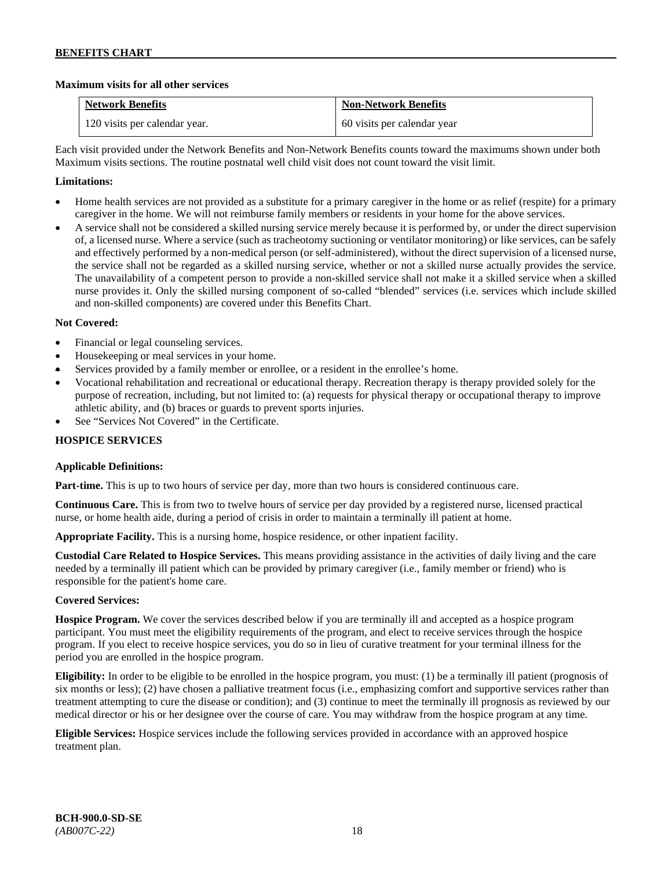## **Maximum visits for all other services**

| <b>Network Benefits</b>       | <b>Non-Network Benefits</b> |
|-------------------------------|-----------------------------|
| 120 visits per calendar year. | 60 visits per calendar year |

Each visit provided under the Network Benefits and Non-Network Benefits counts toward the maximums shown under both Maximum visits sections. The routine postnatal well child visit does not count toward the visit limit.

## **Limitations:**

- Home health services are not provided as a substitute for a primary caregiver in the home or as relief (respite) for a primary caregiver in the home. We will not reimburse family members or residents in your home for the above services.
- A service shall not be considered a skilled nursing service merely because it is performed by, or under the direct supervision of, a licensed nurse. Where a service (such as tracheotomy suctioning or ventilator monitoring) or like services, can be safely and effectively performed by a non-medical person (or self-administered), without the direct supervision of a licensed nurse, the service shall not be regarded as a skilled nursing service, whether or not a skilled nurse actually provides the service. The unavailability of a competent person to provide a non-skilled service shall not make it a skilled service when a skilled nurse provides it. Only the skilled nursing component of so-called "blended" services (i.e. services which include skilled and non-skilled components) are covered under this Benefits Chart.

## **Not Covered:**

- Financial or legal counseling services.
- Housekeeping or meal services in your home.
- Services provided by a family member or enrollee, or a resident in the enrollee's home.
- Vocational rehabilitation and recreational or educational therapy. Recreation therapy is therapy provided solely for the purpose of recreation, including, but not limited to: (a) requests for physical therapy or occupational therapy to improve athletic ability, and (b) braces or guards to prevent sports injuries.
- See "Services Not Covered" in the Certificate.

## **HOSPICE SERVICES**

## **Applicable Definitions:**

**Part-time.** This is up to two hours of service per day, more than two hours is considered continuous care.

**Continuous Care.** This is from two to twelve hours of service per day provided by a registered nurse, licensed practical nurse, or home health aide, during a period of crisis in order to maintain a terminally ill patient at home.

**Appropriate Facility.** This is a nursing home, hospice residence, or other inpatient facility.

**Custodial Care Related to Hospice Services.** This means providing assistance in the activities of daily living and the care needed by a terminally ill patient which can be provided by primary caregiver (i.e., family member or friend) who is responsible for the patient's home care.

## **Covered Services:**

**Hospice Program.** We cover the services described below if you are terminally ill and accepted as a hospice program participant. You must meet the eligibility requirements of the program, and elect to receive services through the hospice program. If you elect to receive hospice services, you do so in lieu of curative treatment for your terminal illness for the period you are enrolled in the hospice program.

**Eligibility:** In order to be eligible to be enrolled in the hospice program, you must: (1) be a terminally ill patient (prognosis of six months or less); (2) have chosen a palliative treatment focus (i.e., emphasizing comfort and supportive services rather than treatment attempting to cure the disease or condition); and (3) continue to meet the terminally ill prognosis as reviewed by our medical director or his or her designee over the course of care. You may withdraw from the hospice program at any time.

**Eligible Services:** Hospice services include the following services provided in accordance with an approved hospice treatment plan.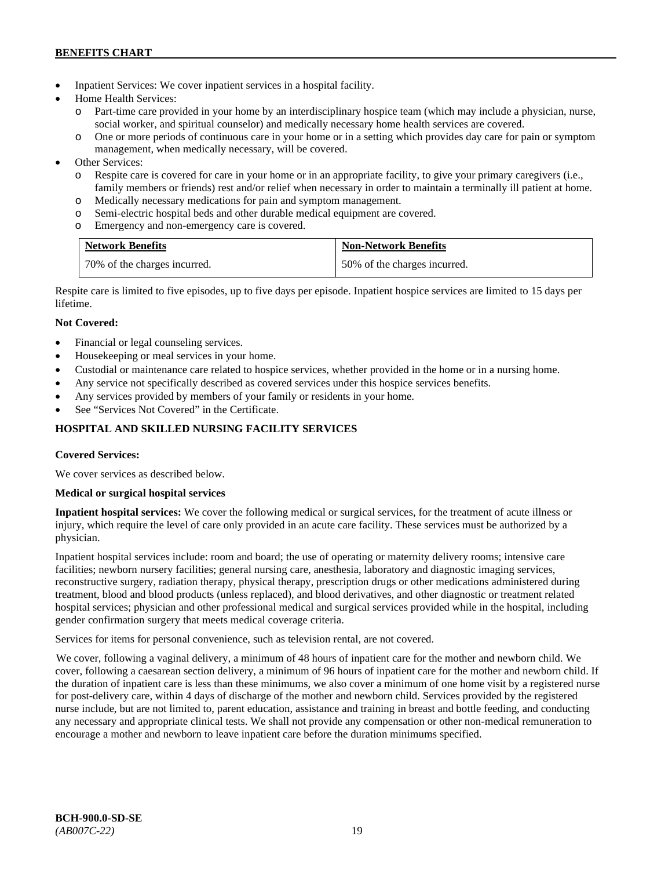- Inpatient Services: We cover inpatient services in a hospital facility.
- Home Health Services:
	- o Part-time care provided in your home by an interdisciplinary hospice team (which may include a physician, nurse, social worker, and spiritual counselor) and medically necessary home health services are covered.
	- o One or more periods of continuous care in your home or in a setting which provides day care for pain or symptom management, when medically necessary, will be covered.
- Other Services:
	- o Respite care is covered for care in your home or in an appropriate facility, to give your primary caregivers (i.e., family members or friends) rest and/or relief when necessary in order to maintain a terminally ill patient at home*.*
	- o Medically necessary medications for pain and symptom management.
	- o Semi-electric hospital beds and other durable medical equipment are covered.
	- o Emergency and non-emergency care is covered.

| <b>Network Benefits</b>      | <b>Non-Network Benefits</b>  |
|------------------------------|------------------------------|
| 70% of the charges incurred. | 50% of the charges incurred. |

Respite care is limited to five episodes, up to five days per episode. Inpatient hospice services are limited to 15 days per lifetime.

# **Not Covered:**

- Financial or legal counseling services.
- Housekeeping or meal services in your home.
- Custodial or maintenance care related to hospice services, whether provided in the home or in a nursing home.
- Any service not specifically described as covered services under this hospice services benefits.
- Any services provided by members of your family or residents in your home.
- See "Services Not Covered" in the Certificate.

# **HOSPITAL AND SKILLED NURSING FACILITY SERVICES**

## **Covered Services:**

We cover services as described below.

## **Medical or surgical hospital services**

**Inpatient hospital services:** We cover the following medical or surgical services, for the treatment of acute illness or injury, which require the level of care only provided in an acute care facility. These services must be authorized by a physician.

Inpatient hospital services include: room and board; the use of operating or maternity delivery rooms; intensive care facilities; newborn nursery facilities; general nursing care, anesthesia, laboratory and diagnostic imaging services, reconstructive surgery, radiation therapy, physical therapy, prescription drugs or other medications administered during treatment, blood and blood products (unless replaced), and blood derivatives, and other diagnostic or treatment related hospital services; physician and other professional medical and surgical services provided while in the hospital, including gender confirmation surgery that meets medical coverage criteria.

Services for items for personal convenience, such as television rental, are not covered.

We cover, following a vaginal delivery, a minimum of 48 hours of inpatient care for the mother and newborn child. We cover, following a caesarean section delivery, a minimum of 96 hours of inpatient care for the mother and newborn child. If the duration of inpatient care is less than these minimums, we also cover a minimum of one home visit by a registered nurse for post-delivery care, within 4 days of discharge of the mother and newborn child. Services provided by the registered nurse include, but are not limited to, parent education, assistance and training in breast and bottle feeding, and conducting any necessary and appropriate clinical tests. We shall not provide any compensation or other non-medical remuneration to encourage a mother and newborn to leave inpatient care before the duration minimums specified.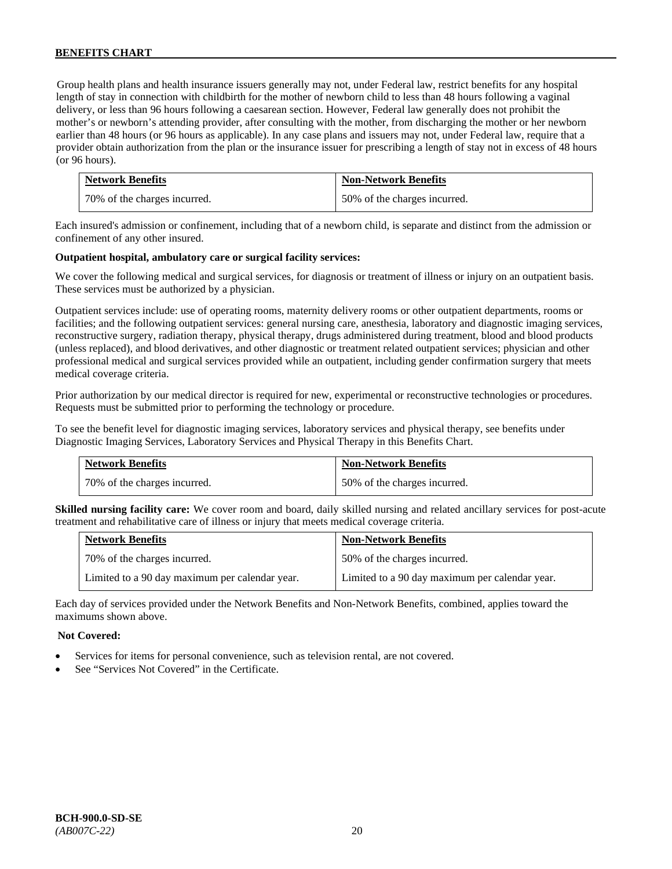Group health plans and health insurance issuers generally may not, under Federal law, restrict benefits for any hospital length of stay in connection with childbirth for the mother of newborn child to less than 48 hours following a vaginal delivery, or less than 96 hours following a caesarean section. However, Federal law generally does not prohibit the mother's or newborn's attending provider, after consulting with the mother, from discharging the mother or her newborn earlier than 48 hours (or 96 hours as applicable). In any case plans and issuers may not, under Federal law, require that a provider obtain authorization from the plan or the insurance issuer for prescribing a length of stay not in excess of 48 hours (or 96 hours).

| <b>Network Benefits</b>      | <b>Non-Network Benefits</b>  |
|------------------------------|------------------------------|
| 70% of the charges incurred. | 50% of the charges incurred. |

Each insured's admission or confinement, including that of a newborn child, is separate and distinct from the admission or confinement of any other insured.

#### **Outpatient hospital, ambulatory care or surgical facility services:**

We cover the following medical and surgical services, for diagnosis or treatment of illness or injury on an outpatient basis. These services must be authorized by a physician.

Outpatient services include: use of operating rooms, maternity delivery rooms or other outpatient departments, rooms or facilities; and the following outpatient services: general nursing care, anesthesia, laboratory and diagnostic imaging services, reconstructive surgery, radiation therapy, physical therapy, drugs administered during treatment, blood and blood products (unless replaced), and blood derivatives, and other diagnostic or treatment related outpatient services; physician and other professional medical and surgical services provided while an outpatient, including gender confirmation surgery that meets medical coverage criteria.

Prior authorization by our medical director is required for new, experimental or reconstructive technologies or procedures. Requests must be submitted prior to performing the technology or procedure.

To see the benefit level for diagnostic imaging services, laboratory services and physical therapy, see benefits under Diagnostic Imaging Services, Laboratory Services and Physical Therapy in this Benefits Chart.

| <b>Network Benefits</b>      | <b>Non-Network Benefits</b>  |
|------------------------------|------------------------------|
| 70% of the charges incurred. | 50% of the charges incurred. |

**Skilled nursing facility care:** We cover room and board, daily skilled nursing and related ancillary services for post-acute treatment and rehabilitative care of illness or injury that meets medical coverage criteria.

| <b>Network Benefits</b>                        | <b>Non-Network Benefits</b>                    |
|------------------------------------------------|------------------------------------------------|
| 70% of the charges incurred.                   | 50% of the charges incurred.                   |
| Limited to a 90 day maximum per calendar year. | Limited to a 90 day maximum per calendar year. |

Each day of services provided under the Network Benefits and Non-Network Benefits, combined, applies toward the maximums shown above.

#### **Not Covered:**

- Services for items for personal convenience, such as television rental, are not covered.
- See "Services Not Covered" in the Certificate.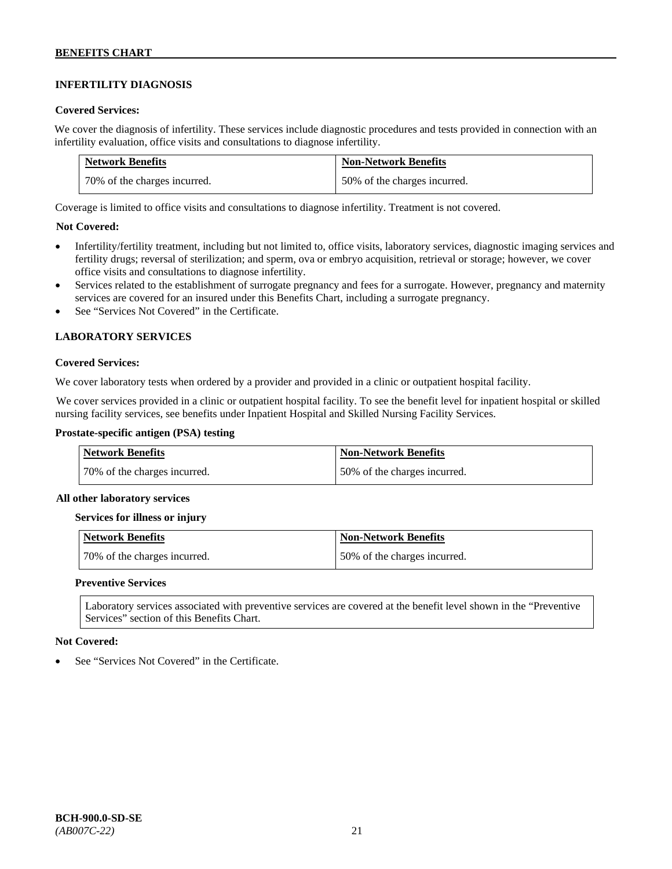# **INFERTILITY DIAGNOSIS**

#### **Covered Services:**

We cover the diagnosis of infertility. These services include diagnostic procedures and tests provided in connection with an infertility evaluation, office visits and consultations to diagnose infertility.

| <b>Network Benefits</b>      | <b>Non-Network Benefits</b>  |
|------------------------------|------------------------------|
| 70% of the charges incurred. | 50% of the charges incurred. |

Coverage is limited to office visits and consultations to diagnose infertility. Treatment is not covered.

## **Not Covered:**

- Infertility/fertility treatment, including but not limited to, office visits, laboratory services, diagnostic imaging services and fertility drugs; reversal of sterilization; and sperm, ova or embryo acquisition, retrieval or storage; however, we cover office visits and consultations to diagnose infertility.
- Services related to the establishment of surrogate pregnancy and fees for a surrogate. However, pregnancy and maternity services are covered for an insured under this Benefits Chart, including a surrogate pregnancy.
- See "Services Not Covered" in the Certificate.

## **LABORATORY SERVICES**

#### **Covered Services:**

We cover laboratory tests when ordered by a provider and provided in a clinic or outpatient hospital facility.

We cover services provided in a clinic or outpatient hospital facility. To see the benefit level for inpatient hospital or skilled nursing facility services, see benefits under Inpatient Hospital and Skilled Nursing Facility Services.

#### **Prostate-specific antigen (PSA) testing**

| <b>Network Benefits</b>      | <b>Non-Network Benefits</b>  |
|------------------------------|------------------------------|
| 70% of the charges incurred. | 50% of the charges incurred. |

#### **All other laboratory services**

#### **Services for illness or injury**

| Network Benefits             | Non-Network Benefits         |
|------------------------------|------------------------------|
| 70% of the charges incurred. | 50% of the charges incurred. |

#### **Preventive Services**

Laboratory services associated with preventive services are covered at the benefit level shown in the "Preventive Services" section of this Benefits Chart.

#### **Not Covered:**

See "Services Not Covered" in the Certificate.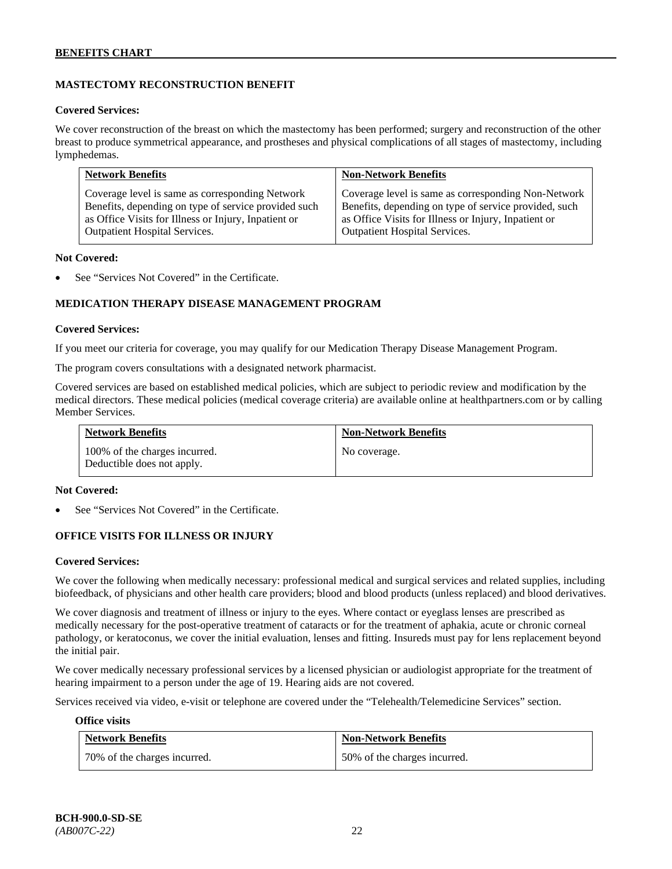# **MASTECTOMY RECONSTRUCTION BENEFIT**

#### **Covered Services:**

We cover reconstruction of the breast on which the mastectomy has been performed; surgery and reconstruction of the other breast to produce symmetrical appearance, and prostheses and physical complications of all stages of mastectomy, including lymphedemas.

| <b>Network Benefits</b>                              | <b>Non-Network Benefits</b>                           |
|------------------------------------------------------|-------------------------------------------------------|
| Coverage level is same as corresponding Network      | Coverage level is same as corresponding Non-Network   |
| Benefits, depending on type of service provided such | Benefits, depending on type of service provided, such |
| as Office Visits for Illness or Injury, Inpatient or | as Office Visits for Illness or Injury, Inpatient or  |
| <b>Outpatient Hospital Services.</b>                 | Outpatient Hospital Services.                         |

#### **Not Covered:**

See "Services Not Covered" in the Certificate.

# **MEDICATION THERAPY DISEASE MANAGEMENT PROGRAM**

#### **Covered Services:**

If you meet our criteria for coverage, you may qualify for our Medication Therapy Disease Management Program.

The program covers consultations with a designated network pharmacist.

Covered services are based on established medical policies, which are subject to periodic review and modification by the medical directors. These medical policies (medical coverage criteria) are available online at [healthpartners.com](http://www.healthpartners.com/) or by calling Member Services.

| <b>Network Benefits</b>                                     | <b>Non-Network Benefits</b> |
|-------------------------------------------------------------|-----------------------------|
| 100% of the charges incurred.<br>Deductible does not apply. | No coverage.                |

#### **Not Covered:**

See "Services Not Covered" in the Certificate.

## **OFFICE VISITS FOR ILLNESS OR INJURY**

#### **Covered Services:**

We cover the following when medically necessary: professional medical and surgical services and related supplies, including biofeedback, of physicians and other health care providers; blood and blood products (unless replaced) and blood derivatives.

We cover diagnosis and treatment of illness or injury to the eyes. Where contact or eyeglass lenses are prescribed as medically necessary for the post-operative treatment of cataracts or for the treatment of aphakia, acute or chronic corneal pathology, or keratoconus, we cover the initial evaluation, lenses and fitting. Insureds must pay for lens replacement beyond the initial pair.

We cover medically necessary professional services by a licensed physician or audiologist appropriate for the treatment of hearing impairment to a person under the age of 19. Hearing aids are not covered.

Services received via video, e-visit or telephone are covered under the "Telehealth/Telemedicine Services" section.

#### **Office visits**

| <b>Network Benefits</b>      | <b>Non-Network Benefits</b>  |
|------------------------------|------------------------------|
| 70% of the charges incurred. | 50% of the charges incurred. |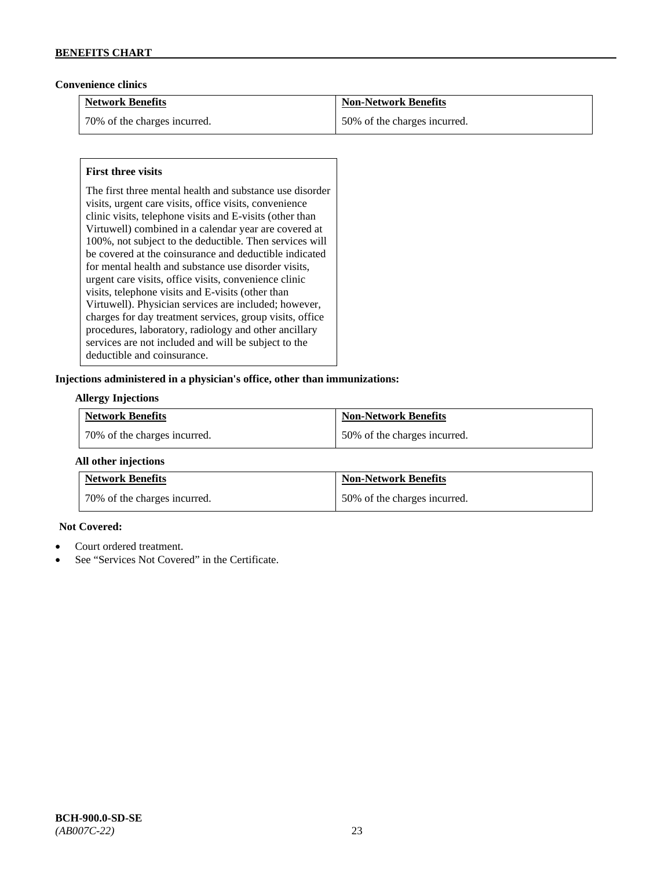## **Convenience clinics**

| <b>Network Benefits</b>      | <b>Non-Network Benefits</b>  |
|------------------------------|------------------------------|
| 70% of the charges incurred. | 50% of the charges incurred. |

## **First three visits**

The first three mental health and substance use disorder visits, urgent care visits, office visits, convenience clinic visits, telephone visits and E-visits (other than Virtuwell) combined in a calendar year are covered at 100%, not subject to the deductible. Then services will be covered at the coinsurance and deductible indicated for mental health and substance use disorder visits, urgent care visits, office visits, convenience clinic visits, telephone visits and E-visits (other than Virtuwell). Physician services are included; however, charges for day treatment services, group visits, office procedures, laboratory, radiology and other ancillary services are not included and will be subject to the deductible and coinsurance.

## **Injections administered in a physician's office, other than immunizations:**

#### **Allergy Injections**

| <b>Network Benefits</b>        | <b>Non-Network Benefits</b>  |
|--------------------------------|------------------------------|
| 1 70% of the charges incurred. | 50% of the charges incurred. |

## **All other injections**

| <b>Network Benefits</b>      | <b>Non-Network Benefits</b>  |
|------------------------------|------------------------------|
| 70% of the charges incurred. | 50% of the charges incurred. |

## **Not Covered:**

- Court ordered treatment.
- See "Services Not Covered" in the Certificate.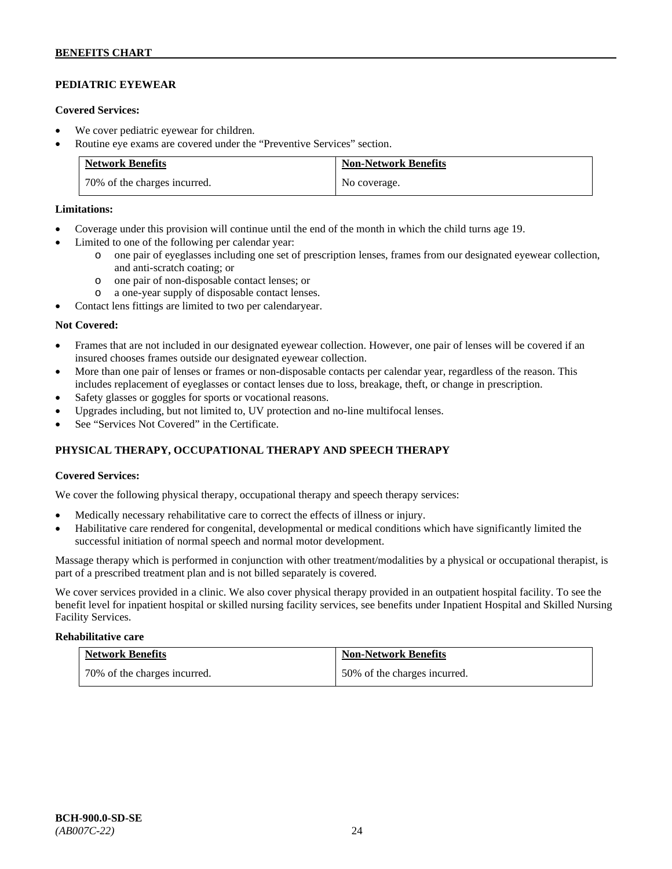# **PEDIATRIC EYEWEAR**

#### **Covered Services:**

- We cover pediatric eyewear for children.
- Routine eye exams are covered under the "Preventive Services" section.

| <b>Network Benefits</b>      | <b>Non-Network Benefits</b> |
|------------------------------|-----------------------------|
| 70% of the charges incurred. | No coverage.                |

#### **Limitations:**

- Coverage under this provision will continue until the end of the month in which the child turns age 19.
- Limited to one of the following per calendar year:
	- o one pair of eyeglasses including one set of prescription lenses, frames from our designated eyewear collection, and anti-scratch coating; or
	- o one pair of non-disposable contact lenses; or
	- o a one-year supply of disposable contact lenses.
- Contact lens fittings are limited to two per calendaryear.

#### **Not Covered:**

- Frames that are not included in our designated eyewear collection. However, one pair of lenses will be covered if an insured chooses frames outside our designated eyewear collection.
- More than one pair of lenses or frames or non-disposable contacts per calendar year, regardless of the reason. This includes replacement of eyeglasses or contact lenses due to loss, breakage, theft, or change in prescription.
- Safety glasses or goggles for sports or vocational reasons.
- Upgrades including, but not limited to, UV protection and no-line multifocal lenses.
- See "Services Not Covered" in the Certificate.

# **PHYSICAL THERAPY, OCCUPATIONAL THERAPY AND SPEECH THERAPY**

## **Covered Services:**

We cover the following physical therapy, occupational therapy and speech therapy services:

- Medically necessary rehabilitative care to correct the effects of illness or injury.
- Habilitative care rendered for congenital, developmental or medical conditions which have significantly limited the successful initiation of normal speech and normal motor development.

Massage therapy which is performed in conjunction with other treatment/modalities by a physical or occupational therapist, is part of a prescribed treatment plan and is not billed separately is covered.

We cover services provided in a clinic. We also cover physical therapy provided in an outpatient hospital facility. To see the benefit level for inpatient hospital or skilled nursing facility services, see benefits under Inpatient Hospital and Skilled Nursing Facility Services.

#### **Rehabilitative care**

| <b>Network Benefits</b>      | <b>Non-Network Benefits</b>  |
|------------------------------|------------------------------|
| 70% of the charges incurred. | 50% of the charges incurred. |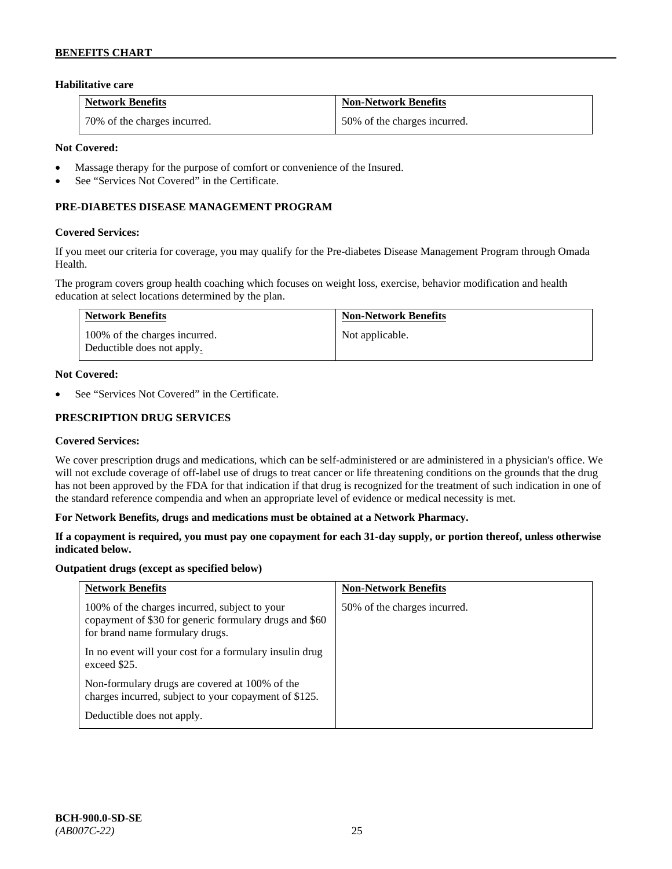## **Habilitative care**

| <b>Network Benefits</b>      | Non-Network Benefits         |
|------------------------------|------------------------------|
| 70% of the charges incurred. | 50% of the charges incurred. |

#### **Not Covered:**

- Massage therapy for the purpose of comfort or convenience of the Insured.
- See "Services Not Covered" in the Certificate.

# **PRE-DIABETES DISEASE MANAGEMENT PROGRAM**

#### **Covered Services:**

If you meet our criteria for coverage, you may qualify for the Pre-diabetes Disease Management Program through Omada Health.

The program covers group health coaching which focuses on weight loss, exercise, behavior modification and health education at select locations determined by the plan.

| <b>Network Benefits</b>                                     | <b>Non-Network Benefits</b> |
|-------------------------------------------------------------|-----------------------------|
| 100% of the charges incurred.<br>Deductible does not apply. | Not applicable.             |

#### **Not Covered:**

See "Services Not Covered" in the Certificate.

#### **PRESCRIPTION DRUG SERVICES**

#### **Covered Services:**

We cover prescription drugs and medications, which can be self-administered or are administered in a physician's office. We will not exclude coverage of off-label use of drugs to treat cancer or life threatening conditions on the grounds that the drug has not been approved by the FDA for that indication if that drug is recognized for the treatment of such indication in one of the standard reference compendia and when an appropriate level of evidence or medical necessity is met.

#### **For Network Benefits, drugs and medications must be obtained at a Network Pharmacy.**

#### **If a copayment is required, you must pay one copayment for each 31-day supply, or portion thereof, unless otherwise indicated below.**

#### **Outpatient drugs (except as specified below)**

| <b>Network Benefits</b>                                                                                                                    | <b>Non-Network Benefits</b>  |
|--------------------------------------------------------------------------------------------------------------------------------------------|------------------------------|
| 100% of the charges incurred, subject to your<br>copayment of \$30 for generic formulary drugs and \$60<br>for brand name formulary drugs. | 50% of the charges incurred. |
| In no event will your cost for a formulary insulin drug<br>exceed \$25.                                                                    |                              |
| Non-formulary drugs are covered at 100% of the<br>charges incurred, subject to your copayment of \$125.                                    |                              |
| Deductible does not apply.                                                                                                                 |                              |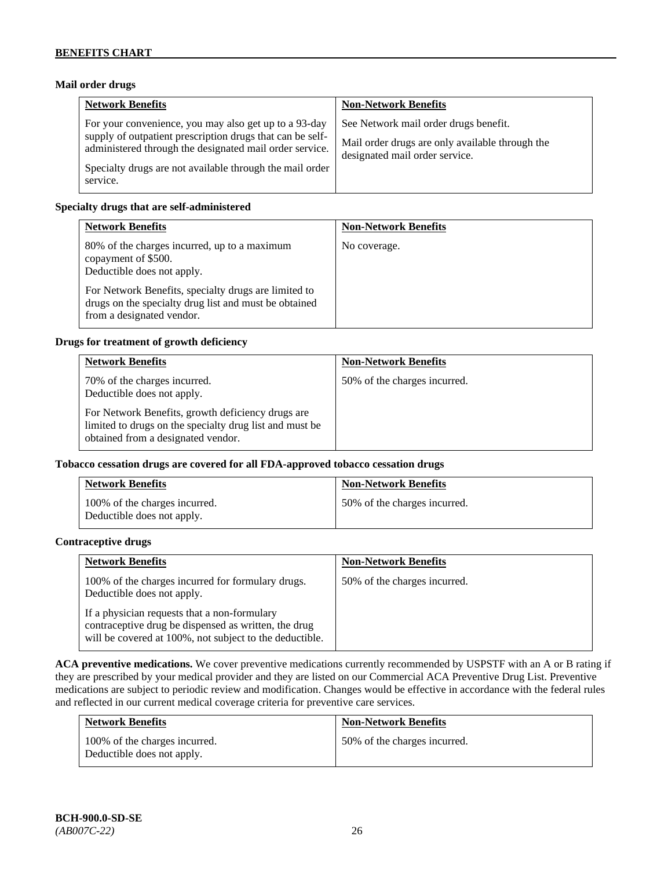## **Mail order drugs**

| <b>Network Benefits</b>                                                                                                                                                                                                                               | <b>Non-Network Benefits</b>                                                                                                |
|-------------------------------------------------------------------------------------------------------------------------------------------------------------------------------------------------------------------------------------------------------|----------------------------------------------------------------------------------------------------------------------------|
| For your convenience, you may also get up to a 93-day<br>supply of outpatient prescription drugs that can be self-<br>administered through the designated mail order service.<br>Specialty drugs are not available through the mail order<br>service. | See Network mail order drugs benefit.<br>Mail order drugs are only available through the<br>designated mail order service. |

#### **Specialty drugs that are self-administered**

| <b>Network Benefits</b>                                                                                                                                                                                                                         | <b>Non-Network Benefits</b> |
|-------------------------------------------------------------------------------------------------------------------------------------------------------------------------------------------------------------------------------------------------|-----------------------------|
| 80% of the charges incurred, up to a maximum<br>copayment of \$500.<br>Deductible does not apply.<br>For Network Benefits, specialty drugs are limited to<br>drugs on the specialty drug list and must be obtained<br>from a designated vendor. | No coverage.                |

#### **Drugs for treatment of growth deficiency**

| <b>Network Benefits</b>                                                                                                                            | <b>Non-Network Benefits</b>  |
|----------------------------------------------------------------------------------------------------------------------------------------------------|------------------------------|
| 70% of the charges incurred.<br>Deductible does not apply.                                                                                         | 50% of the charges incurred. |
| For Network Benefits, growth deficiency drugs are<br>limited to drugs on the specialty drug list and must be<br>obtained from a designated vendor. |                              |

#### **Tobacco cessation drugs are covered for all FDA-approved tobacco cessation drugs**

| <b>Network Benefits</b>                                     | <b>Non-Network Benefits</b>  |
|-------------------------------------------------------------|------------------------------|
| 100% of the charges incurred.<br>Deductible does not apply. | 50% of the charges incurred. |

#### **Contraceptive drugs**

| <b>Network Benefits</b>                                                                                                                                         | <b>Non-Network Benefits</b>  |
|-----------------------------------------------------------------------------------------------------------------------------------------------------------------|------------------------------|
| 100% of the charges incurred for formulary drugs.<br>Deductible does not apply.                                                                                 | 50% of the charges incurred. |
| If a physician requests that a non-formulary<br>contraceptive drug be dispensed as written, the drug<br>will be covered at 100%, not subject to the deductible. |                              |

**ACA preventive medications.** We cover preventive medications currently recommended by USPSTF with an A or B rating if they are prescribed by your medical provider and they are listed on our Commercial ACA Preventive Drug List. Preventive medications are subject to periodic review and modification. Changes would be effective in accordance with the federal rules and reflected in our current medical coverage criteria for preventive care services.

| <b>Network Benefits</b>                                     | <b>Non-Network Benefits</b>  |
|-------------------------------------------------------------|------------------------------|
| 100% of the charges incurred.<br>Deductible does not apply. | 50% of the charges incurred. |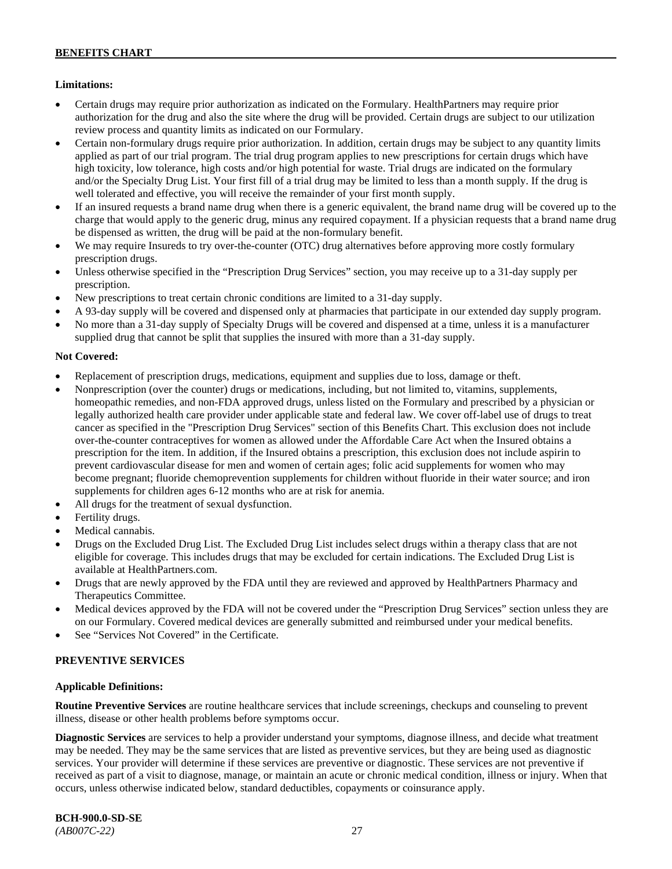## **Limitations:**

- Certain drugs may require prior authorization as indicated on the Formulary. HealthPartners may require prior authorization for the drug and also the site where the drug will be provided. Certain drugs are subject to our utilization review process and quantity limits as indicated on our Formulary.
- Certain non-formulary drugs require prior authorization. In addition, certain drugs may be subject to any quantity limits applied as part of our trial program. The trial drug program applies to new prescriptions for certain drugs which have high toxicity, low tolerance, high costs and/or high potential for waste. Trial drugs are indicated on the formulary and/or the Specialty Drug List. Your first fill of a trial drug may be limited to less than a month supply. If the drug is well tolerated and effective, you will receive the remainder of your first month supply.
- If an insured requests a brand name drug when there is a generic equivalent, the brand name drug will be covered up to the charge that would apply to the generic drug, minus any required copayment. If a physician requests that a brand name drug be dispensed as written, the drug will be paid at the non-formulary benefit.
- We may require Insureds to try over-the-counter (OTC) drug alternatives before approving more costly formulary prescription drugs.
- Unless otherwise specified in the "Prescription Drug Services" section, you may receive up to a 31-day supply per prescription.
- New prescriptions to treat certain chronic conditions are limited to a 31-day supply.
- A 93-day supply will be covered and dispensed only at pharmacies that participate in our extended day supply program.
- No more than a 31-day supply of Specialty Drugs will be covered and dispensed at a time, unless it is a manufacturer supplied drug that cannot be split that supplies the insured with more than a 31-day supply.

# **Not Covered:**

- Replacement of prescription drugs, medications, equipment and supplies due to loss, damage or theft.
- Nonprescription (over the counter) drugs or medications, including, but not limited to, vitamins, supplements, homeopathic remedies, and non-FDA approved drugs, unless listed on the Formulary and prescribed by a physician or legally authorized health care provider under applicable state and federal law. We cover off-label use of drugs to treat cancer as specified in the "Prescription Drug Services" section of this Benefits Chart. This exclusion does not include over-the-counter contraceptives for women as allowed under the Affordable Care Act when the Insured obtains a prescription for the item. In addition, if the Insured obtains a prescription, this exclusion does not include aspirin to prevent cardiovascular disease for men and women of certain ages; folic acid supplements for women who may become pregnant; fluoride chemoprevention supplements for children without fluoride in their water source; and iron supplements for children ages 6-12 months who are at risk for anemia.
- All drugs for the treatment of sexual dysfunction.
- Fertility drugs.
- Medical cannabis.
- Drugs on the Excluded Drug List. The Excluded Drug List includes select drugs within a therapy class that are not eligible for coverage. This includes drugs that may be excluded for certain indications. The Excluded Drug List is available a[t HealthPartners.com.](http://www.healthpartners.com/)
- Drugs that are newly approved by the FDA until they are reviewed and approved by HealthPartners Pharmacy and Therapeutics Committee.
- Medical devices approved by the FDA will not be covered under the "Prescription Drug Services" section unless they are on our Formulary. Covered medical devices are generally submitted and reimbursed under your medical benefits.
- See "Services Not Covered" in the Certificate.

# **PREVENTIVE SERVICES**

## **Applicable Definitions:**

**Routine Preventive Services** are routine healthcare services that include screenings, checkups and counseling to prevent illness, disease or other health problems before symptoms occur.

**Diagnostic Services** are services to help a provider understand your symptoms, diagnose illness, and decide what treatment may be needed. They may be the same services that are listed as preventive services, but they are being used as diagnostic services. Your provider will determine if these services are preventive or diagnostic. These services are not preventive if received as part of a visit to diagnose, manage, or maintain an acute or chronic medical condition, illness or injury. When that occurs, unless otherwise indicated below, standard deductibles, copayments or coinsurance apply.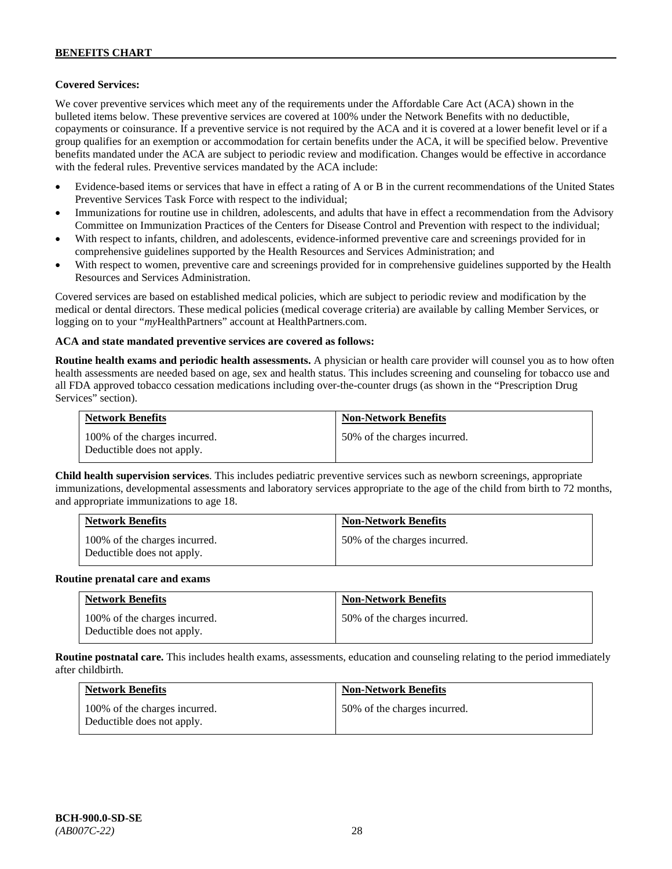## **Covered Services:**

We cover preventive services which meet any of the requirements under the Affordable Care Act (ACA) shown in the bulleted items below. These preventive services are covered at 100% under the Network Benefits with no deductible, copayments or coinsurance. If a preventive service is not required by the ACA and it is covered at a lower benefit level or if a group qualifies for an exemption or accommodation for certain benefits under the ACA, it will be specified below. Preventive benefits mandated under the ACA are subject to periodic review and modification. Changes would be effective in accordance with the federal rules. Preventive services mandated by the ACA include:

- Evidence-based items or services that have in effect a rating of A or B in the current recommendations of the United States Preventive Services Task Force with respect to the individual;
- Immunizations for routine use in children, adolescents, and adults that have in effect a recommendation from the Advisory Committee on Immunization Practices of the Centers for Disease Control and Prevention with respect to the individual;
- With respect to infants, children, and adolescents, evidence-informed preventive care and screenings provided for in comprehensive guidelines supported by the Health Resources and Services Administration; and
- With respect to women, preventive care and screenings provided for in comprehensive guidelines supported by the Health Resources and Services Administration.

Covered services are based on established medical policies, which are subject to periodic review and modification by the medical or dental directors. These medical policies (medical coverage criteria) are available by calling Member Services, or logging on to your "*my*HealthPartners" account at [HealthPartners.com.](http://www.healthpartners.com/)

#### **ACA and state mandated preventive services are covered as follows:**

**Routine health exams and periodic health assessments.** A physician or health care provider will counsel you as to how often health assessments are needed based on age, sex and health status. This includes screening and counseling for tobacco use and all FDA approved tobacco cessation medications including over-the-counter drugs (as shown in the "Prescription Drug Services" section).

| <b>Network Benefits</b>                                     | <b>Non-Network Benefits</b>  |
|-------------------------------------------------------------|------------------------------|
| 100% of the charges incurred.<br>Deductible does not apply. | 50% of the charges incurred. |

**Child health supervision services**. This includes pediatric preventive services such as newborn screenings, appropriate immunizations, developmental assessments and laboratory services appropriate to the age of the child from birth to 72 months, and appropriate immunizations to age 18.

| <b>Network Benefits</b>                                     | <b>Non-Network Benefits</b>  |
|-------------------------------------------------------------|------------------------------|
| 100% of the charges incurred.<br>Deductible does not apply. | 50% of the charges incurred. |

#### **Routine prenatal care and exams**

| <b>Network Benefits</b>                                     | <b>Non-Network Benefits</b>  |
|-------------------------------------------------------------|------------------------------|
| 100% of the charges incurred.<br>Deductible does not apply. | 50% of the charges incurred. |

**Routine postnatal care.** This includes health exams, assessments, education and counseling relating to the period immediately after childbirth.

| <b>Network Benefits</b>                                     | <b>Non-Network Benefits</b>  |
|-------------------------------------------------------------|------------------------------|
| 100% of the charges incurred.<br>Deductible does not apply. | 50% of the charges incurred. |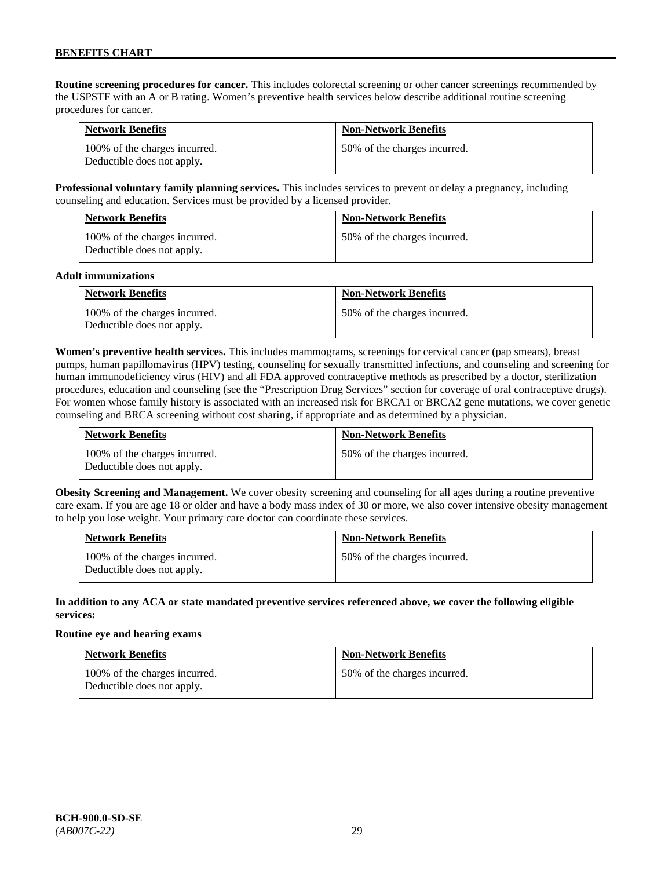**Routine screening procedures for cancer.** This includes colorectal screening or other cancer screenings recommended by the USPSTF with an A or B rating. Women's preventive health services below describe additional routine screening procedures for cancer.

| <b>Network Benefits</b>                                     | <b>Non-Network Benefits</b>  |
|-------------------------------------------------------------|------------------------------|
| 100% of the charges incurred.<br>Deductible does not apply. | 50% of the charges incurred. |

**Professional voluntary family planning services.** This includes services to prevent or delay a pregnancy, including counseling and education. Services must be provided by a licensed provider.

| <b>Network Benefits</b>                                     | <b>Non-Network Benefits</b>  |
|-------------------------------------------------------------|------------------------------|
| 100% of the charges incurred.<br>Deductible does not apply. | 50% of the charges incurred. |

#### **Adult immunizations**

| <b>Network Benefits</b>                                     | <b>Non-Network Benefits</b>  |
|-------------------------------------------------------------|------------------------------|
| 100% of the charges incurred.<br>Deductible does not apply. | 50% of the charges incurred. |

**Women's preventive health services.** This includes mammograms, screenings for cervical cancer (pap smears), breast pumps, human papillomavirus (HPV) testing, counseling for sexually transmitted infections, and counseling and screening for human immunodeficiency virus (HIV) and all FDA approved contraceptive methods as prescribed by a doctor, sterilization procedures, education and counseling (see the "Prescription Drug Services" section for coverage of oral contraceptive drugs). For women whose family history is associated with an increased risk for BRCA1 or BRCA2 gene mutations, we cover genetic counseling and BRCA screening without cost sharing, if appropriate and as determined by a physician.

| <b>Network Benefits</b>                                     | <b>Non-Network Benefits</b>  |
|-------------------------------------------------------------|------------------------------|
| 100% of the charges incurred.<br>Deductible does not apply. | 50% of the charges incurred. |

**Obesity Screening and Management.** We cover obesity screening and counseling for all ages during a routine preventive care exam. If you are age 18 or older and have a body mass index of 30 or more, we also cover intensive obesity management to help you lose weight. Your primary care doctor can coordinate these services.

| <b>Network Benefits</b>                                     | <b>Non-Network Benefits</b>  |
|-------------------------------------------------------------|------------------------------|
| 100% of the charges incurred.<br>Deductible does not apply. | 50% of the charges incurred. |

#### **In addition to any ACA or state mandated preventive services referenced above, we cover the following eligible services:**

#### **Routine eye and hearing exams**

| <b>Network Benefits</b>                                     | <b>Non-Network Benefits</b>  |
|-------------------------------------------------------------|------------------------------|
| 100% of the charges incurred.<br>Deductible does not apply. | 50% of the charges incurred. |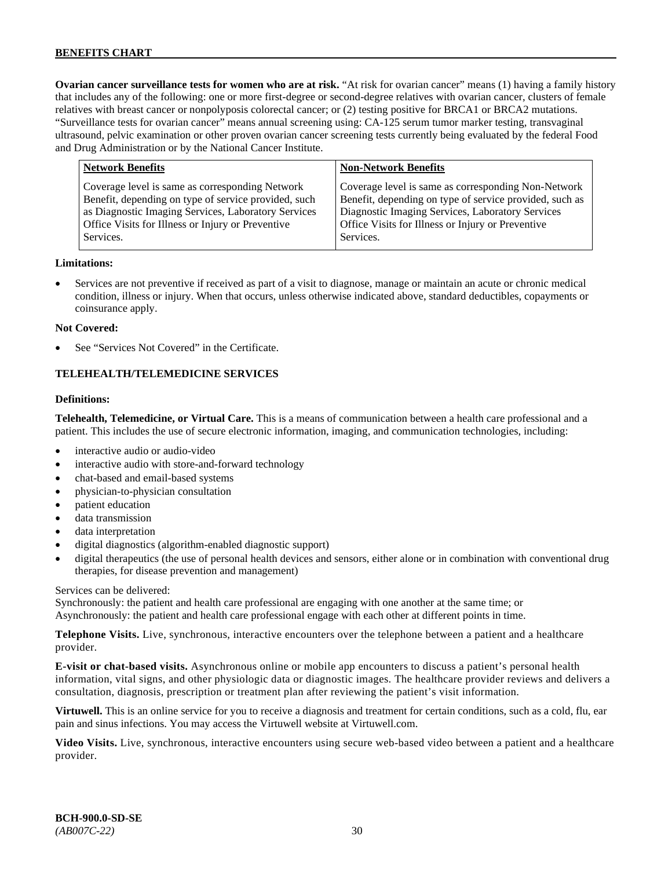**Ovarian cancer surveillance tests for women who are at risk.** "At risk for ovarian cancer" means (1) having a family history that includes any of the following: one or more first-degree or second-degree relatives with ovarian cancer, clusters of female relatives with breast cancer or nonpolyposis colorectal cancer; or (2) testing positive for BRCA1 or BRCA2 mutations. "Surveillance tests for ovarian cancer" means annual screening using: CA-125 serum tumor marker testing, transvaginal ultrasound, pelvic examination or other proven ovarian cancer screening tests currently being evaluated by the federal Food and Drug Administration or by the National Cancer Institute.

| <b>Network Benefits</b>                                                                                                                                                                                                          | <b>Non-Network Benefits</b>                                                                                                                                                                                                          |
|----------------------------------------------------------------------------------------------------------------------------------------------------------------------------------------------------------------------------------|--------------------------------------------------------------------------------------------------------------------------------------------------------------------------------------------------------------------------------------|
| Coverage level is same as corresponding Network<br>Benefit, depending on type of service provided, such<br>as Diagnostic Imaging Services, Laboratory Services<br>Office Visits for Illness or Injury or Preventive<br>Services. | Coverage level is same as corresponding Non-Network<br>Benefit, depending on type of service provided, such as<br>Diagnostic Imaging Services, Laboratory Services<br>Office Visits for Illness or Injury or Preventive<br>Services. |
|                                                                                                                                                                                                                                  |                                                                                                                                                                                                                                      |

#### **Limitations:**

• Services are not preventive if received as part of a visit to diagnose, manage or maintain an acute or chronic medical condition, illness or injury. When that occurs, unless otherwise indicated above, standard deductibles, copayments or coinsurance apply.

#### **Not Covered:**

See "Services Not Covered" in the Certificate.

#### **TELEHEALTH/TELEMEDICINE SERVICES**

#### **Definitions:**

**Telehealth, Telemedicine, or Virtual Care.** This is a means of communication between a health care professional and a patient. This includes the use of secure electronic information, imaging, and communication technologies, including:

- interactive audio or audio-video
- interactive audio with store-and-forward technology
- chat-based and email-based systems
- physician-to-physician consultation
- patient education
- data transmission
- data interpretation
- digital diagnostics (algorithm-enabled diagnostic support)
- digital therapeutics (the use of personal health devices and sensors, either alone or in combination with conventional drug therapies, for disease prevention and management)

#### Services can be delivered:

Synchronously: the patient and health care professional are engaging with one another at the same time; or Asynchronously: the patient and health care professional engage with each other at different points in time.

**Telephone Visits.** Live, synchronous, interactive encounters over the telephone between a patient and a healthcare provider.

**E-visit or chat-based visits.** Asynchronous online or mobile app encounters to discuss a patient's personal health information, vital signs, and other physiologic data or diagnostic images. The healthcare provider reviews and delivers a consultation, diagnosis, prescription or treatment plan after reviewing the patient's visit information.

**Virtuwell.** This is an online service for you to receive a diagnosis and treatment for certain conditions, such as a cold, flu, ear pain and sinus infections. You may access the Virtuwell website at [Virtuwell.com.](https://www.virtuwell.com/)

**Video Visits.** Live, synchronous, interactive encounters using secure web-based video between a patient and a healthcare provider.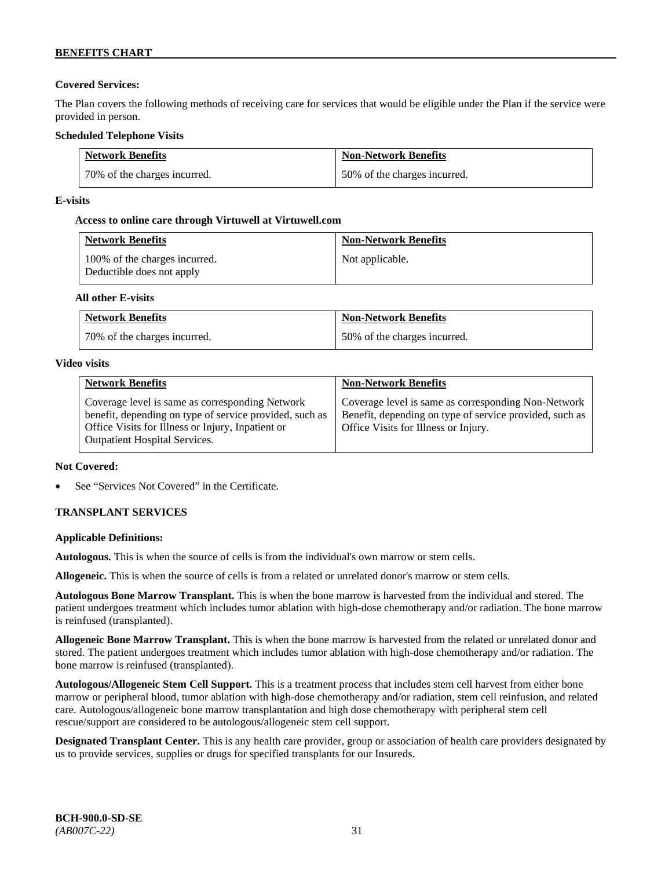# **Covered Services:**

The Plan covers the following methods of receiving care for services that would be eligible under the Plan if the service were provided in person.

## **Scheduled Telephone Visits**

| <b>Network Benefits</b>      | <b>Non-Network Benefits</b>  |
|------------------------------|------------------------------|
| 70% of the charges incurred. | 50% of the charges incurred. |

## **E-visits**

## **Access to online care through Virtuwell at [Virtuwell.com](http://www.virtuwell.com/)**

| <b>Network Benefits</b>                                    | <b>Non-Network Benefits</b> |
|------------------------------------------------------------|-----------------------------|
| 100% of the charges incurred.<br>Deductible does not apply | Not applicable.             |

## **All other E-visits**

| <b>Network Benefits</b>      | <b>Non-Network Benefits</b>  |
|------------------------------|------------------------------|
| 70% of the charges incurred. | 50% of the charges incurred. |

#### **Video visits**

| <b>Network Benefits</b>                                                                                                                                                                          | <b>Non-Network Benefits</b>                                                                                                                            |
|--------------------------------------------------------------------------------------------------------------------------------------------------------------------------------------------------|--------------------------------------------------------------------------------------------------------------------------------------------------------|
| Coverage level is same as corresponding Network<br>benefit, depending on type of service provided, such as<br>Office Visits for Illness or Injury, Inpatient or<br>Outpatient Hospital Services. | Coverage level is same as corresponding Non-Network<br>Benefit, depending on type of service provided, such as<br>Office Visits for Illness or Injury. |

## **Not Covered:**

See "Services Not Covered" in the Certificate.

# **TRANSPLANT SERVICES**

## **Applicable Definitions:**

**Autologous.** This is when the source of cells is from the individual's own marrow or stem cells.

**Allogeneic.** This is when the source of cells is from a related or unrelated donor's marrow or stem cells.

**Autologous Bone Marrow Transplant.** This is when the bone marrow is harvested from the individual and stored. The patient undergoes treatment which includes tumor ablation with high-dose chemotherapy and/or radiation. The bone marrow is reinfused (transplanted).

**Allogeneic Bone Marrow Transplant.** This is when the bone marrow is harvested from the related or unrelated donor and stored. The patient undergoes treatment which includes tumor ablation with high-dose chemotherapy and/or radiation. The bone marrow is reinfused (transplanted).

**Autologous/Allogeneic Stem Cell Support.** This is a treatment process that includes stem cell harvest from either bone marrow or peripheral blood, tumor ablation with high-dose chemotherapy and/or radiation, stem cell reinfusion, and related care. Autologous/allogeneic bone marrow transplantation and high dose chemotherapy with peripheral stem cell rescue/support are considered to be autologous/allogeneic stem cell support.

**Designated Transplant Center.** This is any health care provider, group or association of health care providers designated by us to provide services, supplies or drugs for specified transplants for our Insureds.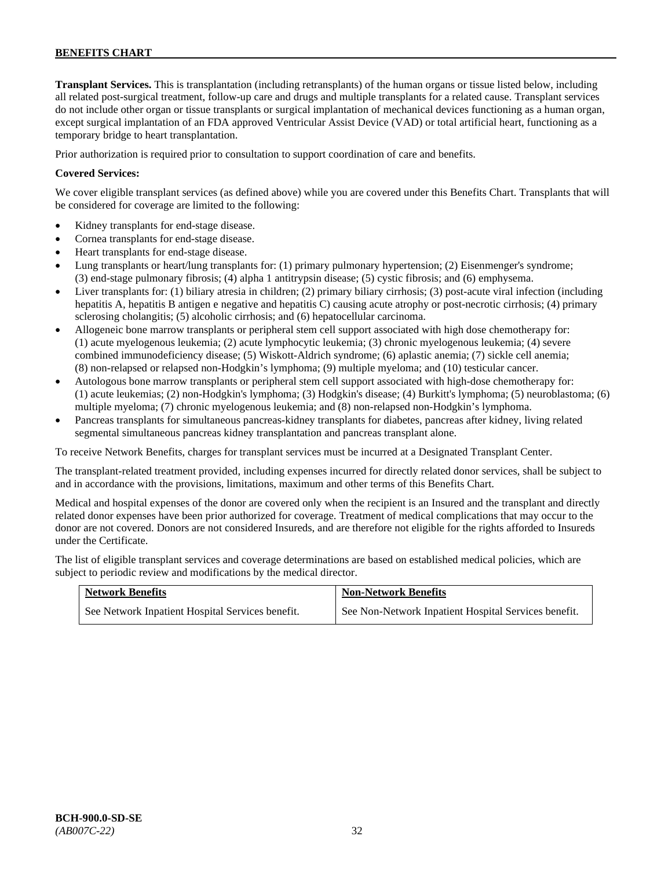**Transplant Services.** This is transplantation (including retransplants) of the human organs or tissue listed below, including all related post-surgical treatment, follow-up care and drugs and multiple transplants for a related cause. Transplant services do not include other organ or tissue transplants or surgical implantation of mechanical devices functioning as a human organ, except surgical implantation of an FDA approved Ventricular Assist Device (VAD) or total artificial heart, functioning as a temporary bridge to heart transplantation.

Prior authorization is required prior to consultation to support coordination of care and benefits.

## **Covered Services:**

We cover eligible transplant services (as defined above) while you are covered under this Benefits Chart. Transplants that will be considered for coverage are limited to the following:

- Kidney transplants for end-stage disease.
- Cornea transplants for end-stage disease.
- Heart transplants for end-stage disease.
- Lung transplants or heart/lung transplants for: (1) primary pulmonary hypertension; (2) Eisenmenger's syndrome; (3) end-stage pulmonary fibrosis; (4) alpha 1 antitrypsin disease; (5) cystic fibrosis; and (6) emphysema.
- Liver transplants for: (1) biliary atresia in children; (2) primary biliary cirrhosis; (3) post-acute viral infection (including hepatitis A, hepatitis B antigen e negative and hepatitis C) causing acute atrophy or post-necrotic cirrhosis; (4) primary sclerosing cholangitis; (5) alcoholic cirrhosis; and (6) hepatocellular carcinoma.
- Allogeneic bone marrow transplants or peripheral stem cell support associated with high dose chemotherapy for: (1) acute myelogenous leukemia; (2) acute lymphocytic leukemia; (3) chronic myelogenous leukemia; (4) severe combined immunodeficiency disease; (5) Wiskott-Aldrich syndrome; (6) aplastic anemia; (7) sickle cell anemia; (8) non-relapsed or relapsed non-Hodgkin's lymphoma; (9) multiple myeloma; and (10) testicular cancer.
- Autologous bone marrow transplants or peripheral stem cell support associated with high-dose chemotherapy for: (1) acute leukemias; (2) non-Hodgkin's lymphoma; (3) Hodgkin's disease; (4) Burkitt's lymphoma; (5) neuroblastoma; (6) multiple myeloma; (7) chronic myelogenous leukemia; and (8) non-relapsed non-Hodgkin's lymphoma.
- Pancreas transplants for simultaneous pancreas-kidney transplants for diabetes, pancreas after kidney, living related segmental simultaneous pancreas kidney transplantation and pancreas transplant alone.

To receive Network Benefits, charges for transplant services must be incurred at a Designated Transplant Center.

The transplant-related treatment provided, including expenses incurred for directly related donor services, shall be subject to and in accordance with the provisions, limitations, maximum and other terms of this Benefits Chart.

Medical and hospital expenses of the donor are covered only when the recipient is an Insured and the transplant and directly related donor expenses have been prior authorized for coverage. Treatment of medical complications that may occur to the donor are not covered. Donors are not considered Insureds, and are therefore not eligible for the rights afforded to Insureds under the Certificate.

The list of eligible transplant services and coverage determinations are based on established medical policies, which are subject to periodic review and modifications by the medical director.

| <b>Network Benefits</b>                          | <b>Non-Network Benefits</b>                          |
|--------------------------------------------------|------------------------------------------------------|
| See Network Inpatient Hospital Services benefit. | See Non-Network Inpatient Hospital Services benefit. |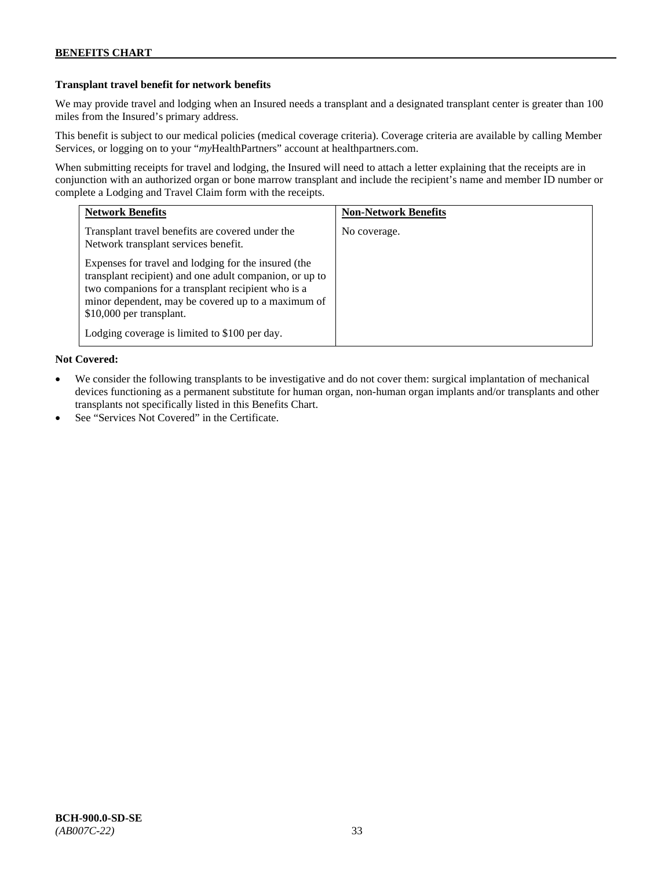## **Transplant travel benefit for network benefits**

We may provide travel and lodging when an Insured needs a transplant and a designated transplant center is greater than 100 miles from the Insured's primary address.

This benefit is subject to our medical policies (medical coverage criteria). Coverage criteria are available by calling Member Services, or logging on to your "*my*HealthPartners" account a[t healthpartners.com.](http://www.healthpartners.com/)

When submitting receipts for travel and lodging, the Insured will need to attach a letter explaining that the receipts are in conjunction with an authorized organ or bone marrow transplant and include the recipient's name and member ID number or complete a Lodging and Travel Claim form with the receipts.

| <b>Network Benefits</b>                                                                                                                                                                                                                                 | <b>Non-Network Benefits</b> |
|---------------------------------------------------------------------------------------------------------------------------------------------------------------------------------------------------------------------------------------------------------|-----------------------------|
| Transplant travel benefits are covered under the<br>Network transplant services benefit.                                                                                                                                                                | No coverage.                |
| Expenses for travel and lodging for the insured (the<br>transplant recipient) and one adult companion, or up to<br>two companions for a transplant recipient who is a<br>minor dependent, may be covered up to a maximum of<br>\$10,000 per transplant. |                             |
| Lodging coverage is limited to \$100 per day.                                                                                                                                                                                                           |                             |

# **Not Covered:**

- We consider the following transplants to be investigative and do not cover them: surgical implantation of mechanical devices functioning as a permanent substitute for human organ, non-human organ implants and/or transplants and other transplants not specifically listed in this Benefits Chart.
- See "Services Not Covered" in the Certificate.